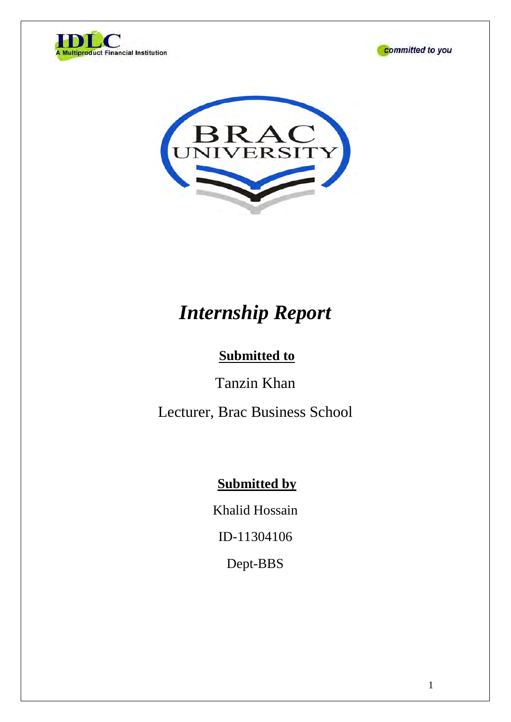





# *Internship Report*

## **Submitted to**

Tanzin Khan

Lecturer, Brac Business School

### **Submitted by**

Khalid Hossain

ID-11304106

Dept-BBS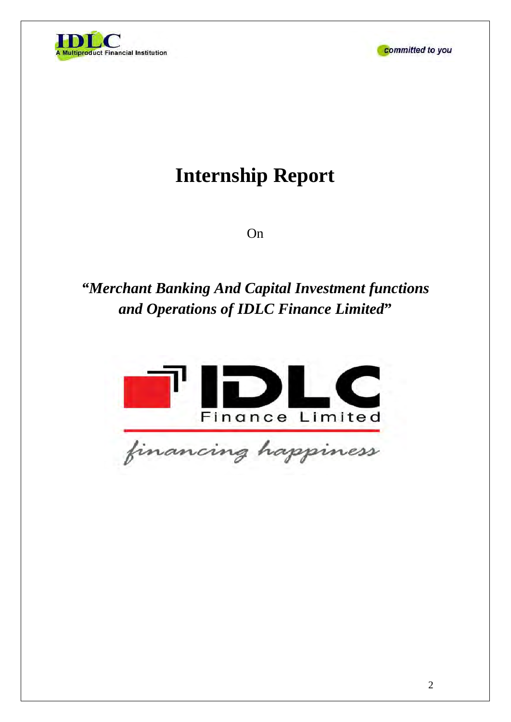



# **Internship Report**

On

## *"Merchant Banking And Capital Investment functions and Operations of IDLC Finance Limited***"**

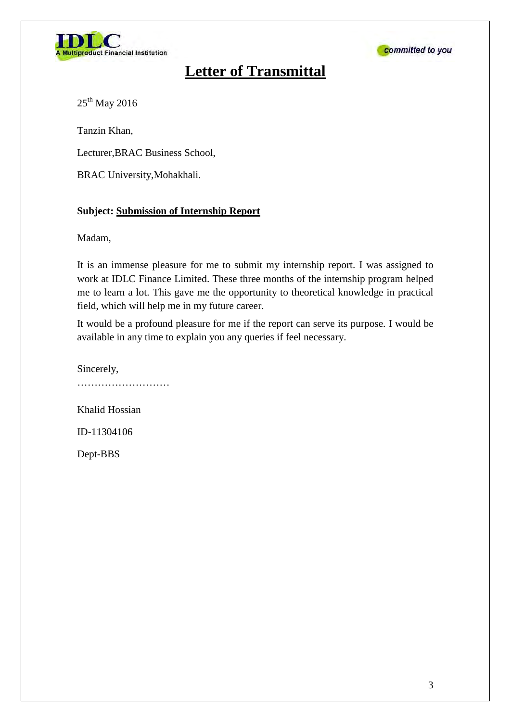



### **Letter of Transmittal**

25<sup>th</sup> May 2016

Tanzin Khan,

Lecturer,BRAC Business School,

BRAC University,Mohakhali.

#### **Subject: Submission of Internship Report**

Madam,

It is an immense pleasure for me to submit my internship report. I was assigned to work at IDLC Finance Limited. These three months of the internship program helped me to learn a lot. This gave me the opportunity to theoretical knowledge in practical field, which will help me in my future career.

It would be a profound pleasure for me if the report can serve its purpose. I would be available in any time to explain you any queries if feel necessary.

Sincerely, ……………………… Khalid Hossian ID-11304106 Dept-BBS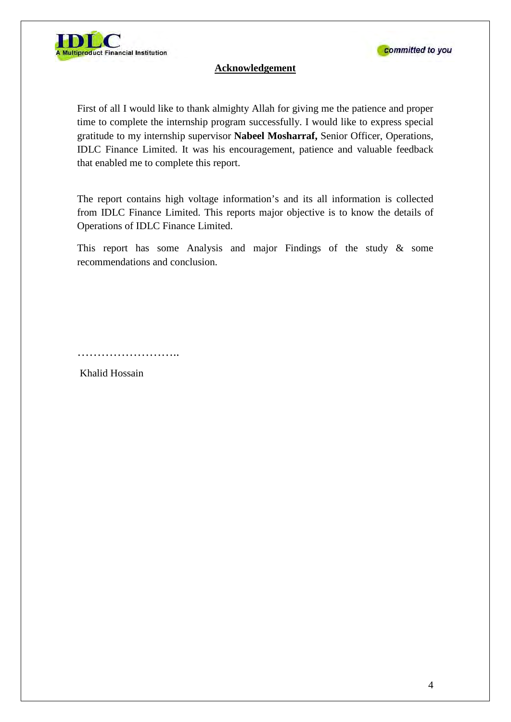

#### **Acknowledgement**

First of all I would like to thank almighty Allah for giving me the patience and proper time to complete the internship program successfully. I would like to express special gratitude to my internship supervisor **Nabeel Mosharraf,** Senior Officer, Operations, IDLC Finance Limited. It was his encouragement, patience and valuable feedback that enabled me to complete this report.

The report contains high voltage information's and its all information is collected from IDLC Finance Limited. This reports major objective is to know the details of Operations of IDLC Finance Limited.

This report has some Analysis and major Findings of the study & some recommendations and conclusion.

. . . . . . . . . . . . . . . . . . . .

Khalid Hossain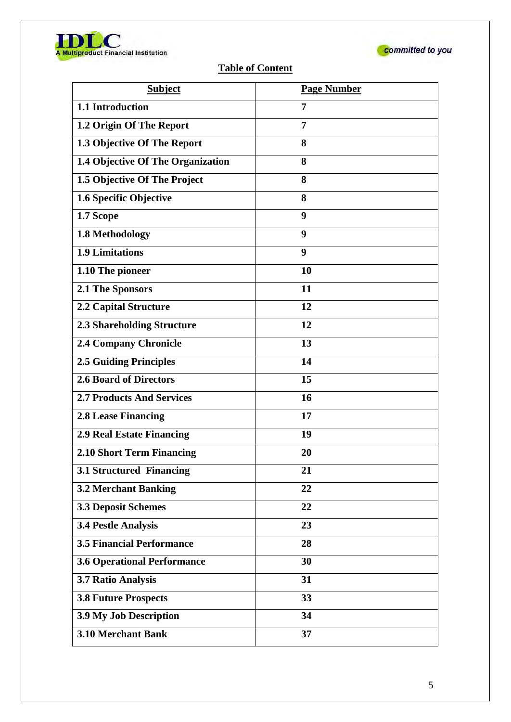



### **Table of Content**

| <b>Subject</b>                     | <b>Page Number</b> |
|------------------------------------|--------------------|
| 1.1 Introduction                   | 7                  |
| 1.2 Origin Of The Report           | 7                  |
| 1.3 Objective Of The Report        | 8                  |
| 1.4 Objective Of The Organization  | 8                  |
| 1.5 Objective Of The Project       | 8                  |
| 1.6 Specific Objective             | 8                  |
| 1.7 Scope                          | 9                  |
| 1.8 Methodology                    | 9                  |
| 1.9 Limitations                    | 9                  |
| 1.10 The pioneer                   | 10                 |
| 2.1 The Sponsors                   | 11                 |
| <b>2.2 Capital Structure</b>       | 12                 |
| <b>2.3 Shareholding Structure</b>  | 12                 |
| <b>2.4 Company Chronicle</b>       | 13                 |
| <b>2.5 Guiding Principles</b>      | 14                 |
| <b>2.6 Board of Directors</b>      | 15                 |
| <b>2.7 Products And Services</b>   | 16                 |
| <b>2.8 Lease Financing</b>         | 17                 |
| <b>2.9 Real Estate Financing</b>   | 19                 |
| 2.10 Short Term Financing          | 20                 |
| 3.1 Structured Financing           | 21                 |
| <b>3.2 Merchant Banking</b>        | 22                 |
| <b>3.3 Deposit Schemes</b>         | 22                 |
| <b>3.4 Pestle Analysis</b>         | 23                 |
| <b>3.5 Financial Performance</b>   | 28                 |
| <b>3.6 Operational Performance</b> | 30                 |
| 3.7 Ratio Analysis                 | 31                 |
| <b>3.8 Future Prospects</b>        | 33                 |
| 3.9 My Job Description             | 34                 |
| <b>3.10 Merchant Bank</b>          | 37                 |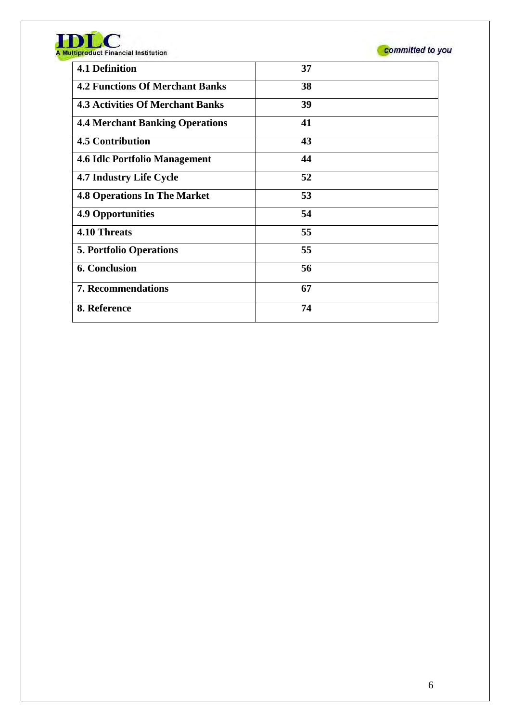| <b>4.1 Definition</b>                   | 37 |
|-----------------------------------------|----|
| <b>4.2 Functions Of Merchant Banks</b>  | 38 |
| <b>4.3 Activities Of Merchant Banks</b> | 39 |
| <b>4.4 Merchant Banking Operations</b>  | 41 |
| <b>4.5 Contribution</b>                 | 43 |
| <b>4.6 Idle Portfolio Management</b>    | 44 |
| <b>4.7 Industry Life Cycle</b>          | 52 |
| <b>4.8 Operations In The Market</b>     | 53 |
| <b>4.9 Opportunities</b>                | 54 |
| <b>4.10 Threats</b>                     | 55 |
| <b>5. Portfolio Operations</b>          | 55 |
| <b>6. Conclusion</b>                    | 56 |
| <b>7. Recommendations</b>               | 67 |
| 8. Reference                            | 74 |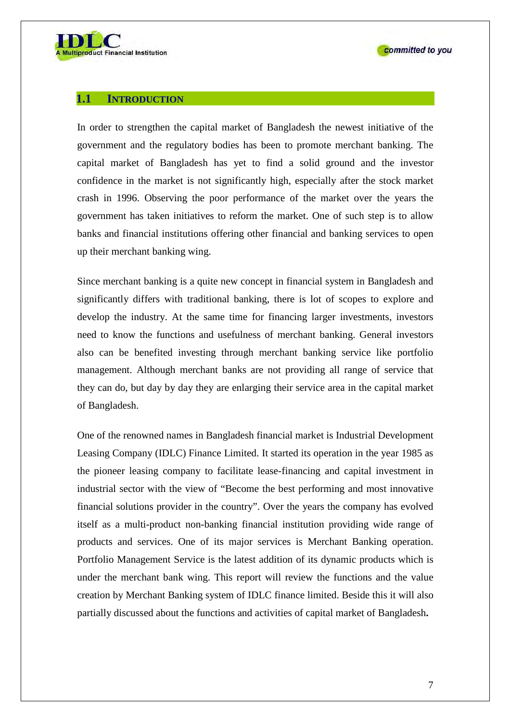

#### **1.1 INTRODUCTION**

In order to strengthen the capital market of Bangladesh the newest initiative of the government and the regulatory bodies has been to promote merchant banking. The capital market of Bangladesh has yet to find a solid ground and the investor confidence in the market is not significantly high, especially after the stock market crash in 1996. Observing the poor performance of the market over the years the government has taken initiatives to reform the market. One of such step is to allow banks and financial institutions offering other financial and banking services to open up their merchant banking wing.

Since merchant banking is a quite new concept in financial system in Bangladesh and significantly differs with traditional banking, there is lot of scopes to explore and develop the industry. At the same time for financing larger investments, investors need to know the functions and usefulness of merchant banking. General investors also can be benefited investing through merchant banking service like portfolio management. Although merchant banks are not providing all range of service that they can do, but day by day they are enlarging their service area in the capital market of Bangladesh.

One of the renowned names in Bangladesh financial market is Industrial Development Leasing Company (IDLC) Finance Limited. It started its operation in the year 1985 as the pioneer leasing company to facilitate lease-financing and capital investment in industrial sector with the view of "Become the best performing and most innovative financial solutions provider in the country". Over the years the company has evolved itself as a multi-product non-banking financial institution providing wide range of products and services. One of its major services is Merchant Banking operation. Portfolio Management Service is the latest addition of its dynamic products which is under the merchant bank wing. This report will review the functions and the value creation by Merchant Banking system of IDLC finance limited. Beside this it will also partially discussed about the functions and activities of capital market of Bangladesh**.**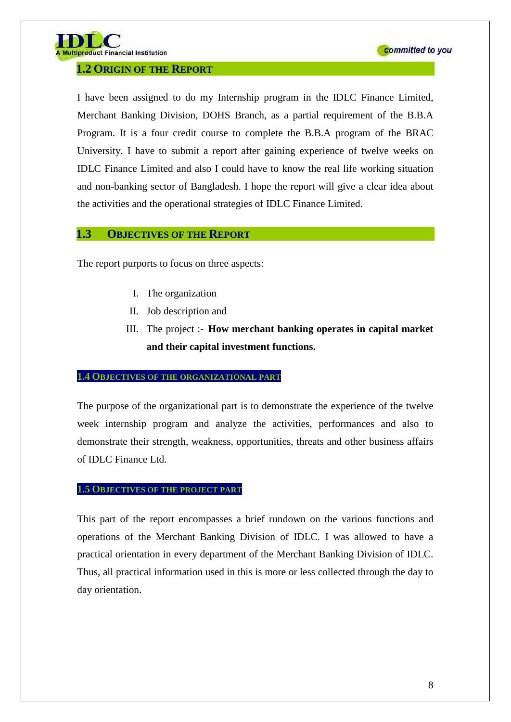

#### **1.2 ORIGIN OF THE REPORT**

I have been assigned to do my Internship program in the IDLC Finance Limited, Merchant Banking Division, DOHS Branch, as a partial requirement of the B.B.A Program. It is a four credit course to complete the B.B.A program of the BRAC University. I have to submit a report after gaining experience of twelve weeks on IDLC Finance Limited and also I could have to know the real life working situation and non-banking sector of Bangladesh. I hope the report will give a clear idea about the activities and the operational strategies of IDLC Finance Limited.

#### **1.3 OBJECTIVES OF THE REPORT**

The report purports to focus on three aspects:

- I. The organization
- II. Job description and
- III. The project :- **How merchant banking operates in capital market and their capital investment functions.**

#### **1.4 OBJECTIVES OF THE ORGANIZATIONAL PART**

The purpose of the organizational part is to demonstrate the experience of the twelve week internship program and analyze the activities, performances and also to demonstrate their strength, weakness, opportunities, threats and other business affairs of IDLC Finance Ltd.

#### **1.5 OBJECTIVES OF THE PROJECT PART**

This part of the report encompasses a brief rundown on the various functions and operations of the Merchant Banking Division of IDLC. I was allowed to have a practical orientation in every department of the Merchant Banking Division of IDLC. Thus, all practical information used in this is more or less collected through the day to day orientation.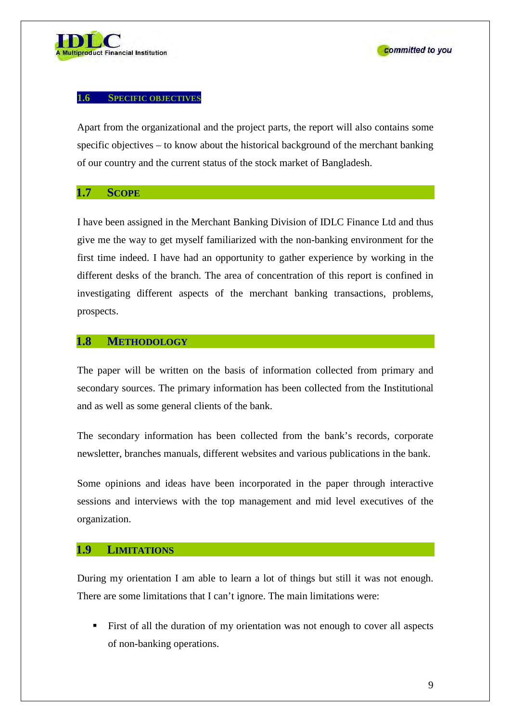

#### **1.6 SPECIFIC OBJECTIVES**

Apart from the organizational and the project parts, the report will also contains some specific objectives – to know about the historical background of the merchant banking of our country and the current status of the stock market of Bangladesh.

#### **1.7 SCOPE**

I have been assigned in the Merchant Banking Division of IDLC Finance Ltd and thus give me the way to get myself familiarized with the non-banking environment for the first time indeed. I have had an opportunity to gather experience by working in the different desks of the branch. The area of concentration of this report is confined in investigating different aspects of the merchant banking transactions, problems, prospects.

#### **1.8 METHODOLOGY**

The paper will be written on the basis of information collected from primary and secondary sources. The primary information has been collected from the Institutional and as well as some general clients of the bank.

The secondary information has been collected from the bank's records, corporate newsletter, branches manuals, different websites and various publications in the bank.

Some opinions and ideas have been incorporated in the paper through interactive sessions and interviews with the top management and mid level executives of the organization.

#### **1.9 LIMITATIONS**

During my orientation I am able to learn a lot of things but still it was not enough. There are some limitations that I can't ignore. The main limitations were:

 First of all the duration of my orientation was not enough to cover all aspects of non-banking operations.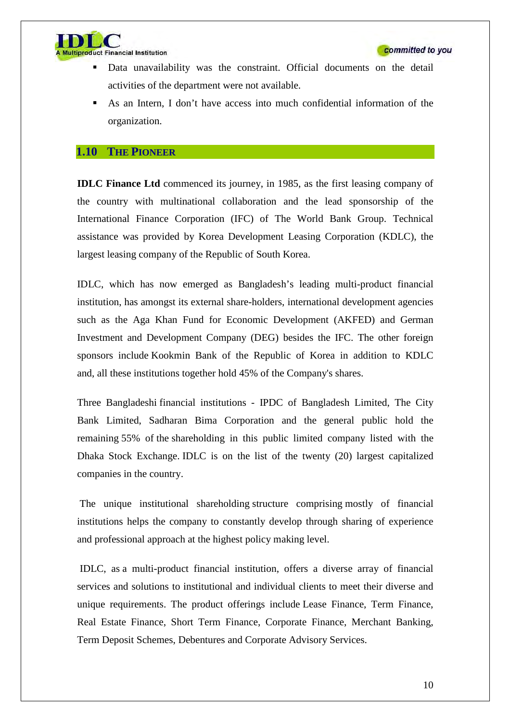



- Data unavailability was the constraint. Official documents on the detail activities of the department were not available.
- As an Intern, I don't have access into much confidential information of the organization.

#### **1.10 THE PIONEER**

**IDLC Finance Ltd** commenced its journey, in 1985, as the first leasing company of the country with multinational collaboration and the lead sponsorship of the International Finance Corporation (IFC) of The World Bank Group. Technical assistance was provided by Korea Development Leasing Corporation (KDLC), the largest leasing company of the Republic of South Korea.

IDLC, which has now emerged as Bangladesh's leading multi-product financial institution, has amongst its external share-holders, international development agencies such as the Aga Khan Fund for Economic Development (AKFED) and German Investment and Development Company (DEG) besides the IFC. The other foreign sponsors include Kookmin Bank of the Republic of Korea in addition to KDLC and, all these institutions together hold 45% of the Company's shares.

Three Bangladeshi financial institutions - IPDC of Bangladesh Limited, The City Bank Limited, Sadharan Bima Corporation and the general public hold the remaining 55% of the shareholding in this public limited company listed with the Dhaka Stock Exchange. IDLC is on the list of the twenty (20) largest capitalized companies in the country.

The unique institutional shareholding structure comprising mostly of financial institutions helps the company to constantly develop through sharing of experience and professional approach at the highest policy making level.

IDLC, as a multi-product financial institution, offers a diverse array of financial services and solutions to institutional and individual clients to meet their diverse and unique requirements. The product offerings include Lease Finance, Term Finance, Real Estate Finance, Short Term Finance, Corporate Finance, Merchant Banking, Term Deposit Schemes, Debentures and Corporate Advisory Services.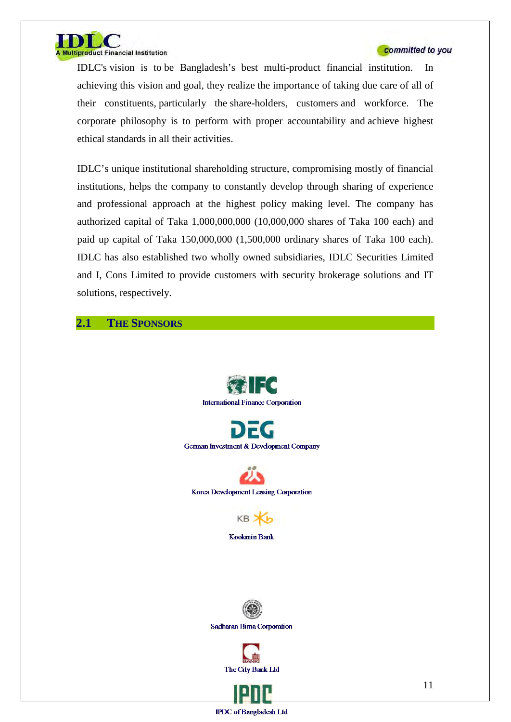

IDLC's vision is to be Bangladesh's best multi-product financial institution. In achieving this vision and goal, they realize the importance of taking due care of all of their constituents, particularly the share-holders, customers and workforce. The corporate philosophy is to perform with proper accountability and achieve highest ethical standards in all their activities.

IDLC's unique institutional shareholding structure, compromising mostly of financial institutions, helps the company to constantly develop through sharing of experience and professional approach at the highest policy making level. The company has authorized capital of Taka 1,000,000,000 (10,000,000 shares of Taka 100 each) and paid up capital of Taka 150,000,000 (1,500,000 ordinary shares of Taka 100 each). IDLC has also established two wholly owned subsidiaries, IDLC Securities Limited and I, Cons Limited to provide customers with security brokerage solutions and IT solutions, respectively.

#### **2.1 THE SPONSORS**

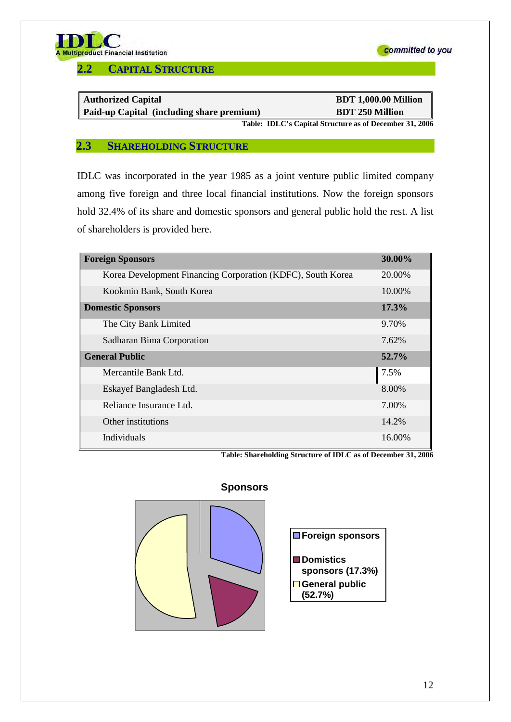

**2.2 CAPITAL STRUCTURE**

| <b>Authorized Capital</b>                 | <b>BDT 1,000.00 Million</b>                              |
|-------------------------------------------|----------------------------------------------------------|
| Paid-up Capital (including share premium) | <b>BDT 250 Million</b>                                   |
|                                           | Table: IDI C's Conital Structure as of December 21, 2006 |

**Table: IDLC's Capital Structure as of December 31, 2006**

committed to you

#### **2.3 SHAREHOLDING STRUCTURE**

IDLC was incorporated in the year 1985 as a joint venture public limited company among five foreign and three local financial institutions. Now the foreign sponsors hold 32.4% of its share and domestic sponsors and general public hold the rest. A list of shareholders is provided here.

| <b>Foreign Sponsors</b>                                     | 30.00%   |
|-------------------------------------------------------------|----------|
| Korea Development Financing Corporation (KDFC), South Korea | 20.00%   |
| Kookmin Bank, South Korea                                   | 10.00%   |
| <b>Domestic Sponsors</b>                                    | $17.3\%$ |
| The City Bank Limited                                       | 9.70%    |
| Sadharan Bima Corporation                                   | 7.62%    |
| <b>General Public</b>                                       | $52.7\%$ |
| Mercantile Bank Ltd.                                        | 7.5%     |
| Eskayef Bangladesh Ltd.                                     | 8.00%    |
| Reliance Insurance Ltd.                                     | 7.00%    |
| Other institutions                                          | 14.2%    |
| Individuals                                                 | 16.00%   |

**Table: Shareholding Structure of IDLC as of December 31, 2006** 

#### **Sponsors**

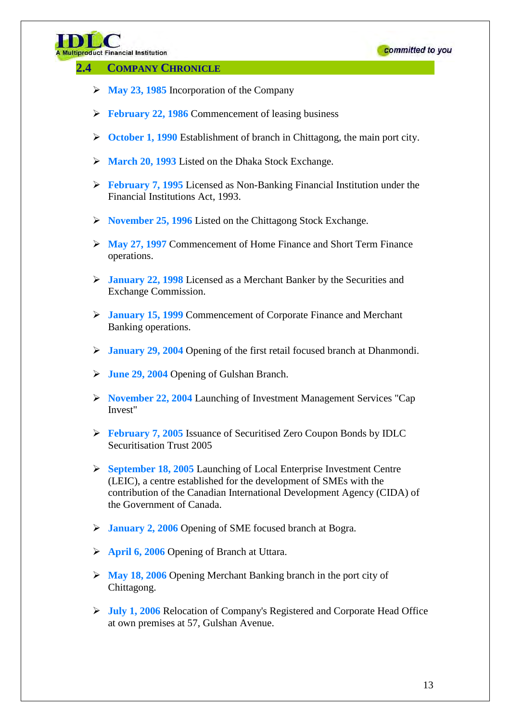

#### **2.4 COMPANY CHRONICLE**

- **May 23, 1985** Incorporation of the Company
- **February 22, 1986** Commencement of leasing business
- **October 1, 1990** Establishment of branch in Chittagong, the main port city.
- **March 20, 1993** Listed on the Dhaka Stock Exchange.
- **February 7, 1995** Licensed as Non-Banking Financial Institution under the Financial Institutions Act, 1993.
- **November 25, 1996** Listed on the Chittagong Stock Exchange.
- **May 27, 1997** Commencement of Home Finance and Short Term Finance operations.
- **January 22, 1998** Licensed as a Merchant Banker by the Securities and Exchange Commission.
- **January 15, 1999** Commencement of Corporate Finance and Merchant Banking operations.
- **January 29, 2004** Opening of the first retail focused branch at Dhanmondi.
- **June 29, 2004** Opening of Gulshan Branch.
- **November 22, 2004** Launching of Investment Management Services "Cap Invest"
- **February 7, 2005** Issuance of Securitised Zero Coupon Bonds by IDLC Securitisation Trust 2005
- **September 18, 2005** Launching of Local Enterprise Investment Centre (LEIC), a centre established for the development of SMEs with the contribution of the Canadian International Development Agency (CIDA) of the Government of Canada.
- **January 2, 2006** Opening of SME focused branch at Bogra.
- **April 6, 2006** Opening of Branch at Uttara.
- **May 18, 2006** Opening Merchant Banking branch in the port city of Chittagong.
- **July 1, 2006** Relocation of Company's Registered and Corporate Head Office at own premises at 57, Gulshan Avenue.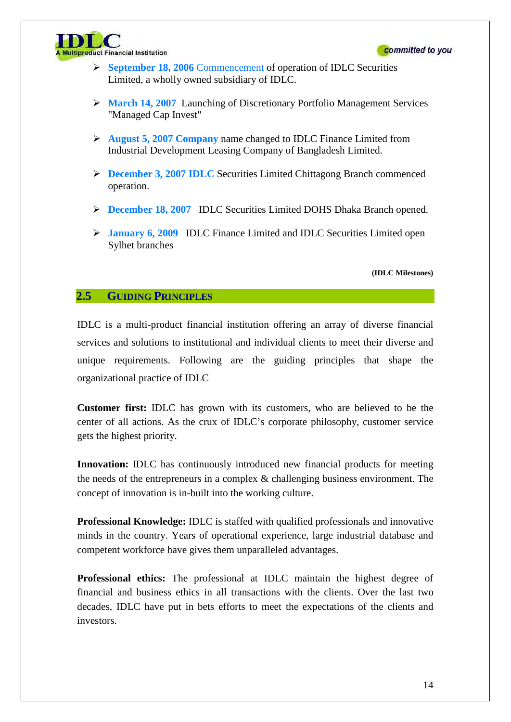

- **September 18, 2006** Commencement of operation of IDLC Securities Limited, a wholly owned subsidiary of IDLC.
- **March 14, 2007** Launching of Discretionary Portfolio Management Services "Managed Cap Invest"
- **August 5, 2007 Company** name changed to IDLC Finance Limited from Industrial Development Leasing Company of Bangladesh Limited.
- **December 3, 2007 IDLC** Securities Limited Chittagong Branch commenced operation.
- **December 18, 2007** IDLC Securities Limited DOHS Dhaka Branch opened.
- **January 6, 2009** IDLC Finance Limited and IDLC Securities Limited open Sylhet branches

 **(IDLC Milestones)** 

### **2.5 GUIDING PRINCIPLES**

IDLC is a multi-product financial institution offering an array of diverse financial services and solutions to institutional and individual clients to meet their diverse and unique requirements. Following are the guiding principles that shape the organizational practice of IDLC

**Customer first:** IDLC has grown with its customers, who are believed to be the center of all actions. As the crux of IDLC's corporate philosophy, customer service gets the highest priority.

**Innovation:** IDLC has continuously introduced new financial products for meeting the needs of the entrepreneurs in a complex  $\&$  challenging business environment. The concept of innovation is in-built into the working culture.

**Professional Knowledge:** IDLC is staffed with qualified professionals and innovative minds in the country. Years of operational experience, large industrial database and competent workforce have gives them unparalleled advantages.

**Professional ethics:** The professional at IDLC maintain the highest degree of financial and business ethics in all transactions with the clients. Over the last two decades, IDLC have put in bets efforts to meet the expectations of the clients and investors.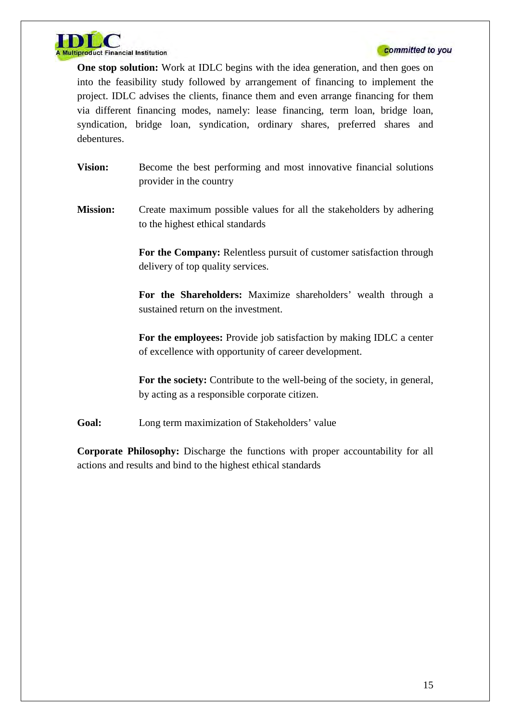

**One stop solution:** Work at IDLC begins with the idea generation, and then goes on into the feasibility study followed by arrangement of financing to implement the project. IDLC advises the clients, finance them and even arrange financing for them via different financing modes, namely: lease financing, term loan, bridge loan, syndication, bridge loan, syndication, ordinary shares, preferred shares and debentures.

- **Vision:** Become the best performing and most innovative financial solutions provider in the country
- **Mission:** Create maximum possible values for all the stakeholders by adhering to the highest ethical standards

**For the Company:** Relentless pursuit of customer satisfaction through delivery of top quality services.

**For the Shareholders:** Maximize shareholders' wealth through a sustained return on the investment.

**For the employees:** Provide job satisfaction by making IDLC a center of excellence with opportunity of career development.

**For the society:** Contribute to the well-being of the society, in general, by acting as a responsible corporate citizen.

Goal: Long term maximization of Stakeholders' value

**Corporate Philosophy:** Discharge the functions with proper accountability for all actions and results and bind to the highest ethical standards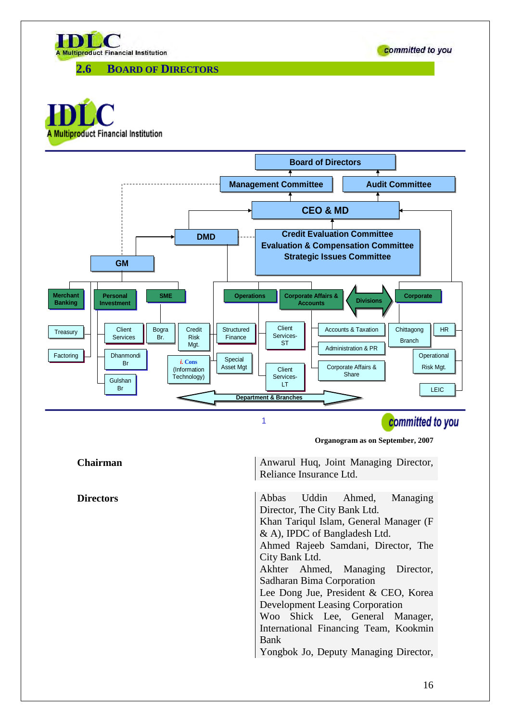

**2.6 BOARD OF DIRECTORS**





committed to you

**Organogram as on September, 2007**

**Chairman** Anwarul Huq, Joint Managing Director, Reliance Insurance Ltd.

**Directors** Abbas Uddin Ahmed, Managing Director, The City Bank Ltd. Khan Tariqul Islam, General Manager (F & A), IPDC of Bangladesh Ltd. Ahmed Rajeeb Samdani, Director, The City Bank Ltd. Akhter Ahmed, Managing Director, Sadharan Bima Corporation Lee Dong Jue, President & CEO, Korea Development Leasing Corporation Woo Shick Lee, General Manager, International Financing Team, Kookmin Bank Yongbok Jo, Deputy Managing Director,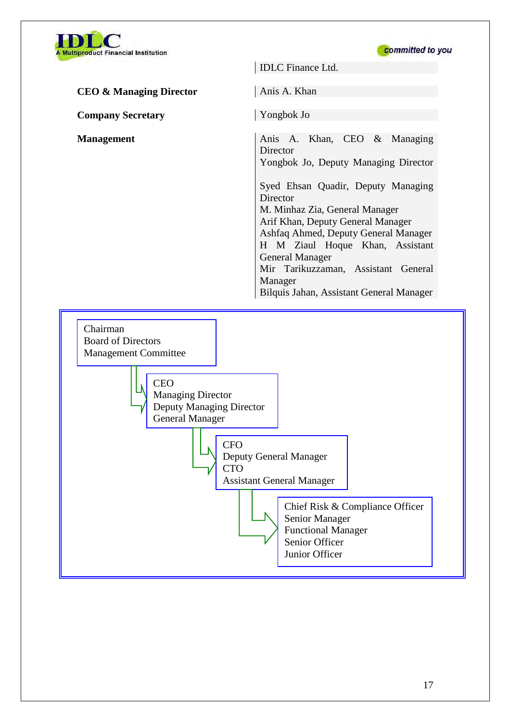



IDLC Finance Ltd. **CEO & Managing Director** Anis A. Khan **Company Secretary** Yongbok Jo **Management Anis A. Khan, CEO & Managing Director** Yongbok Jo, Deputy Managing Director Syed Ehsan Quadir, Deputy Managing Director M. Minhaz Zia, General Manager Arif Khan, Deputy General Manager Ashfaq Ahmed, Deputy General Manager H M Ziaul Hoque Khan, Assistant General Manager Mir Tarikuzzaman, Assistant General Manager Bilquis Jahan, Assistant General Manager

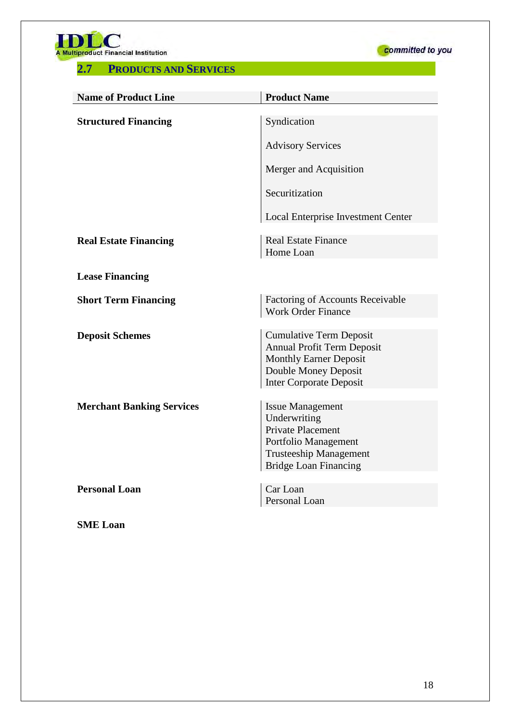**A Multiproduct Financial Institution** 

### **2.7 PRODUCTS AND SERVICES**



| <b>Name of Product Line</b>      | <b>Product Name</b>                                                                                                                                            |
|----------------------------------|----------------------------------------------------------------------------------------------------------------------------------------------------------------|
| <b>Structured Financing</b>      | Syndication                                                                                                                                                    |
|                                  |                                                                                                                                                                |
|                                  | <b>Advisory Services</b>                                                                                                                                       |
|                                  | Merger and Acquisition                                                                                                                                         |
|                                  | Securitization                                                                                                                                                 |
|                                  | Local Enterprise Investment Center                                                                                                                             |
| <b>Real Estate Financing</b>     | <b>Real Estate Finance</b><br>Home Loan                                                                                                                        |
| <b>Lease Financing</b>           |                                                                                                                                                                |
| <b>Short Term Financing</b>      | Factoring of Accounts Receivable<br><b>Work Order Finance</b>                                                                                                  |
| <b>Deposit Schemes</b>           | <b>Cumulative Term Deposit</b><br><b>Annual Profit Term Deposit</b><br><b>Monthly Earner Deposit</b><br>Double Money Deposit<br><b>Inter Corporate Deposit</b> |
| <b>Merchant Banking Services</b> | <b>Issue Management</b><br>Underwriting<br><b>Private Placement</b><br>Portfolio Management<br><b>Trusteeship Management</b><br><b>Bridge Loan Financing</b>   |
| <b>Personal Loan</b>             | Car Loan<br>Personal Loan                                                                                                                                      |

**SME Loan**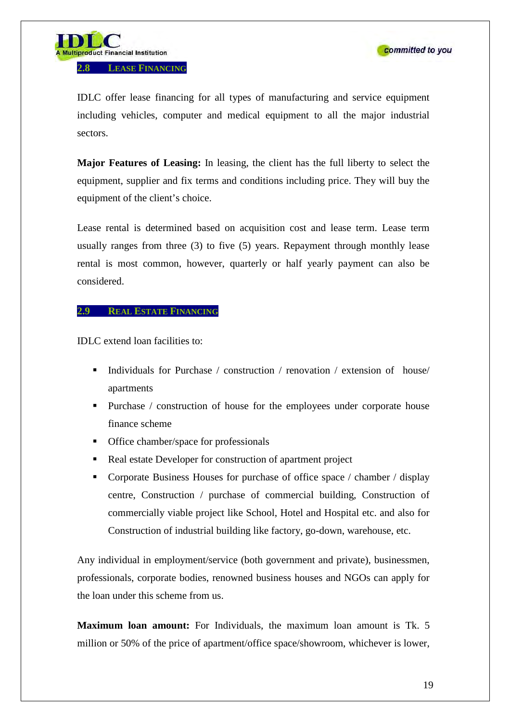



IDLC offer lease financing for all types of manufacturing and service equipment including vehicles, computer and medical equipment to all the major industrial sectors.

**Major Features of Leasing:** In leasing, the client has the full liberty to select the equipment, supplier and fix terms and conditions including price. They will buy the equipment of the client's choice.

Lease rental is determined based on acquisition cost and lease term. Lease term usually ranges from three (3) to five (5) years. Repayment through monthly lease rental is most common, however, quarterly or half yearly payment can also be considered.

#### **2.9 REAL ESTATE FINANCING**

IDLC extend loan facilities to:

- Individuals for Purchase / construction / renovation / extension of house/ apartments
- Purchase / construction of house for the employees under corporate house finance scheme
- Office chamber/space for professionals
- Real estate Developer for construction of apartment project
- Corporate Business Houses for purchase of office space / chamber / display centre, Construction / purchase of commercial building, Construction of commercially viable project like School, Hotel and Hospital etc. and also for Construction of industrial building like factory, go-down, warehouse, etc.

Any individual in employment/service (both government and private), businessmen, professionals, corporate bodies, renowned business houses and NGOs can apply for the loan under this scheme from us.

**Maximum loan amount:** For Individuals, the maximum loan amount is Tk. 5 million or 50% of the price of apartment/office space/showroom, whichever is lower,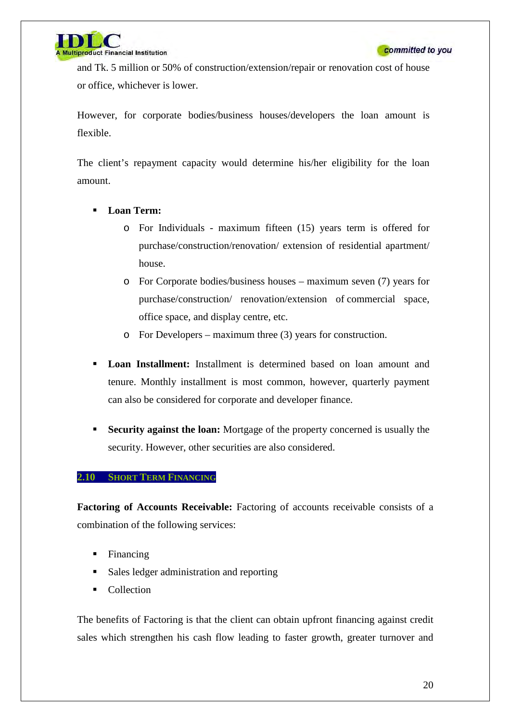

and Tk. 5 million or 50% of construction/extension/repair or renovation cost of house or office, whichever is lower.

However, for corporate bodies/business houses/developers the loan amount is flexible.

The client's repayment capacity would determine his/her eligibility for the loan amount.

- **Loan Term:** 
	- o For Individuals maximum fifteen (15) years term is offered for purchase/construction/renovation/ extension of residential apartment/ house.
	- o For Corporate bodies/business houses maximum seven (7) years for purchase/construction/ renovation/extension of commercial space, office space, and display centre, etc.
	- o For Developers maximum three (3) years for construction.
- **Loan Installment:** Installment is determined based on loan amount and tenure. Monthly installment is most common, however, quarterly payment can also be considered for corporate and developer finance.
- **Security against the loan:** Mortgage of the property concerned is usually the security. However, other securities are also considered.

#### **2.10 SHORT TERM FINANCING**

**Factoring of Accounts Receivable:** Factoring of accounts receivable consists of a combination of the following services:

- Financing
- Sales ledger administration and reporting
- Collection

The benefits of Factoring is that the client can obtain upfront financing against credit sales which strengthen his cash flow leading to faster growth, greater turnover and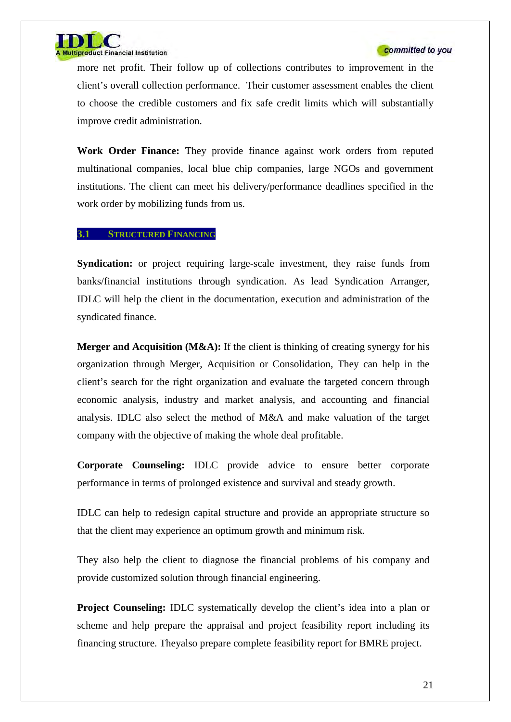

more net profit. Their follow up of collections contributes to improvement in the client's overall collection performance. Their customer assessment enables the client to choose the credible customers and fix safe credit limits which will substantially improve credit administration.

**Work Order Finance:** They provide finance against work orders from reputed multinational companies, local blue chip companies, large NGOs and government institutions. The client can meet his delivery/performance deadlines specified in the work order by mobilizing funds from us.

#### **3.1 STRUCTURED FINANCING**

**Syndication:** or project requiring large-scale investment, they raise funds from banks/financial institutions through syndication. As lead Syndication Arranger, IDLC will help the client in the documentation, execution and administration of the syndicated finance.

**Merger and Acquisition (M&A):** If the client is thinking of creating synergy for his organization through Merger, Acquisition or Consolidation, They can help in the client's search for the right organization and evaluate the targeted concern through economic analysis, industry and market analysis, and accounting and financial analysis. IDLC also select the method of M&A and make valuation of the target company with the objective of making the whole deal profitable.

**Corporate Counseling:** IDLC provide advice to ensure better corporate performance in terms of prolonged existence and survival and steady growth.

IDLC can help to redesign capital structure and provide an appropriate structure so that the client may experience an optimum growth and minimum risk.

They also help the client to diagnose the financial problems of his company and provide customized solution through financial engineering.

**Project Counseling: IDLC** systematically develop the client's idea into a plan or scheme and help prepare the appraisal and project feasibility report including its financing structure. Theyalso prepare complete feasibility report for BMRE project.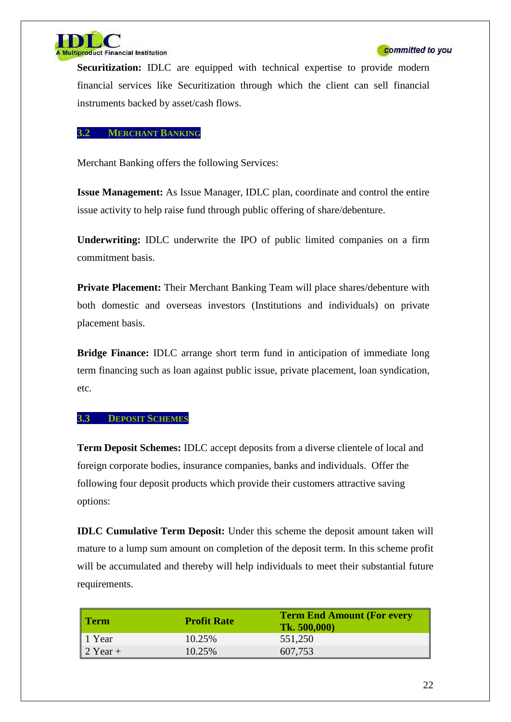

**Securitization:** IDLC are equipped with technical expertise to provide modern financial services like Securitization through which the client can sell financial instruments backed by asset/cash flows.

#### **3.2 MERCHANT BANKING**

Merchant Banking offers the following Services:

**Issue Management:** As Issue Manager, IDLC plan, coordinate and control the entire issue activity to help raise fund through public offering of share/debenture.

**Underwriting:** IDLC underwrite the IPO of public limited companies on a firm commitment basis.

**Private Placement:** Their Merchant Banking Team will place shares/debenture with both domestic and overseas investors (Institutions and individuals) on private placement basis.

**Bridge Finance:** IDLC arrange short term fund in anticipation of immediate long term financing such as loan against public issue, private placement, loan syndication, etc.

#### **3.3 DEPOSIT SCHEMES**

**Term Deposit Schemes:** IDLC accept deposits from a diverse clientele of local and foreign corporate bodies, insurance companies, banks and individuals. Offer the following four deposit products which provide their customers attractive saving options:

**IDLC Cumulative Term Deposit:** Under this scheme the deposit amount taken will mature to a lump sum amount on completion of the deposit term. In this scheme profit will be accumulated and thereby will help individuals to meet their substantial future requirements.

| Term                                                                      | <b>Profit Rate</b> | <b>Term End Amount (For every</b><br><b>Tk. 500,000)</b> |
|---------------------------------------------------------------------------|--------------------|----------------------------------------------------------|
|                                                                           | 10.25%             | 551,250                                                  |
| $\begin{array}{ c c }\n1 \text{ Year} \\ 2 \text{ Year} + \\ \end{array}$ | 10.25%             | 607,753                                                  |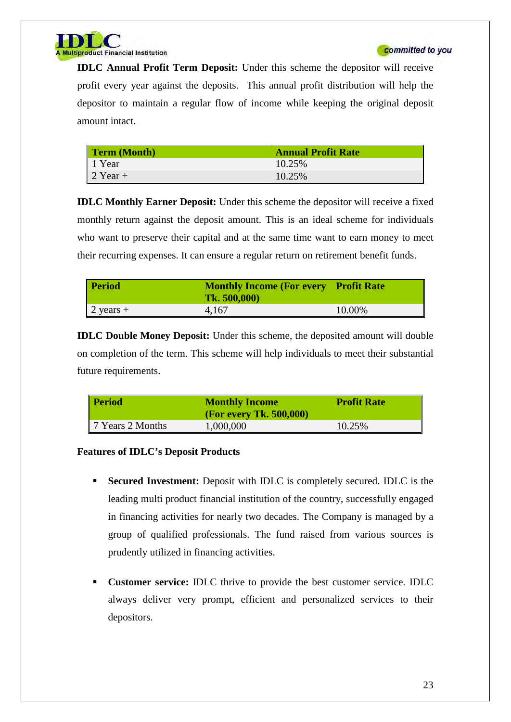



**IDLC Annual Profit Term Deposit:** Under this scheme the depositor will receive profit every year against the deposits. This annual profit distribution will help the depositor to maintain a regular flow of income while keeping the original deposit amount intact.

| <b>Term (Month)</b> | <b>Annual Profit Rate</b> |
|---------------------|---------------------------|
| 1 Year              | 10.25%                    |
| $\vert$ 2 Year +    | 10.25%                    |

**IDLC Monthly Earner Deposit:** Under this scheme the depositor will receive a fixed monthly return against the deposit amount. This is an ideal scheme for individuals who want to preserve their capital and at the same time want to earn money to meet their recurring expenses. It can ensure a regular return on retirement benefit funds.

| <b>Period</b>       | <b>Monthly Income (For every Profit Rate)</b><br>Tk. 500,000 |        |
|---------------------|--------------------------------------------------------------|--------|
| $2 \text{ years} +$ | 4,167                                                        | 10.00% |

**IDLC Double Money Deposit:** Under this scheme, the deposited amount will double on completion of the term. This scheme will help individuals to meet their substantial future requirements.

| <b>Period</b>    | <b>Monthly Income</b><br>(For every Tk. $500,000$ ) | <b>Profit Rate</b> |
|------------------|-----------------------------------------------------|--------------------|
| 7 Years 2 Months | 1,000,000                                           | 10.25%             |

#### **Features of IDLC's Deposit Products**

- **Secured Investment:** Deposit with IDLC is completely secured. IDLC is the leading multi product financial institution of the country, successfully engaged in financing activities for nearly two decades. The Company is managed by a group of qualified professionals. The fund raised from various sources is prudently utilized in financing activities.
- **Customer service:** IDLC thrive to provide the best customer service. IDLC always deliver very prompt, efficient and personalized services to their depositors.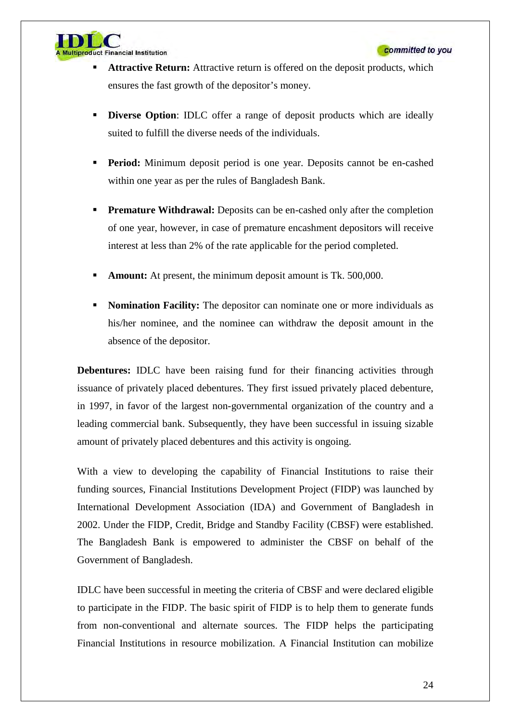

- **Attractive Return:** Attractive return is offered on the deposit products, which ensures the fast growth of the depositor's money.
- **Diverse Option**: **IDLC** offer a range of deposit products which are ideally suited to fulfill the diverse needs of the individuals.
- **Period:** Minimum deposit period is one year. Deposits cannot be en-cashed within one year as per the rules of Bangladesh Bank.
- **Premature Withdrawal:** Deposits can be en-cashed only after the completion of one year, however, in case of premature encashment depositors will receive interest at less than 2% of the rate applicable for the period completed.
- **Amount:** At present, the minimum deposit amount is Tk. 500,000.
- **Nomination Facility:** The depositor can nominate one or more individuals as his/her nominee, and the nominee can withdraw the deposit amount in the absence of the depositor.

**Debentures:** IDLC have been raising fund for their financing activities through issuance of privately placed debentures. They first issued privately placed debenture, in 1997, in favor of the largest non-governmental organization of the country and a leading commercial bank. Subsequently, they have been successful in issuing sizable amount of privately placed debentures and this activity is ongoing.

With a view to developing the capability of Financial Institutions to raise their funding sources, Financial Institutions Development Project (FIDP) was launched by International Development Association (IDA) and Government of Bangladesh in 2002. Under the FIDP, Credit, Bridge and Standby Facility (CBSF) were established. The Bangladesh Bank is empowered to administer the CBSF on behalf of the Government of Bangladesh.

IDLC have been successful in meeting the criteria of CBSF and were declared eligible to participate in the FIDP. The basic spirit of FIDP is to help them to generate funds from non-conventional and alternate sources. The FIDP helps the participating Financial Institutions in resource mobilization. A Financial Institution can mobilize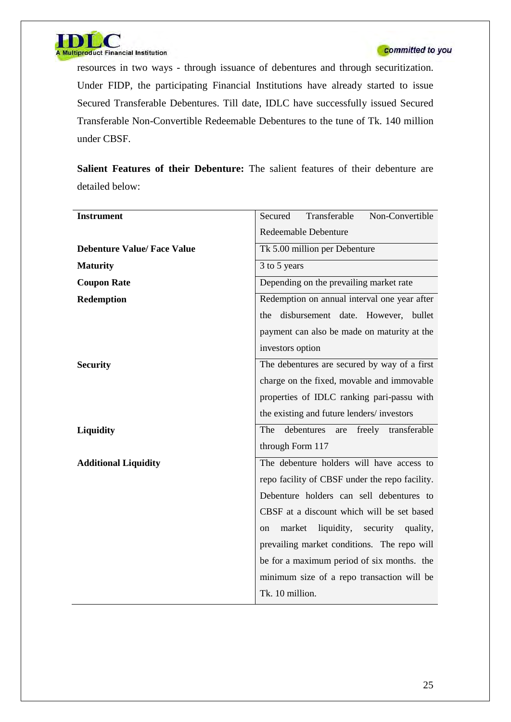

resources in two ways - through issuance of debentures and through securitization. Under FIDP, the participating Financial Institutions have already started to issue Secured Transferable Debentures. Till date, IDLC have successfully issued Secured Transferable Non-Convertible Redeemable Debentures to the tune of Tk. 140 million under CBSF.

**Salient Features of their Debenture:** The salient features of their debenture are detailed below:

| <b>Instrument</b>                  | Transferable<br>Non-Convertible<br>Secured      |  |  |  |  |
|------------------------------------|-------------------------------------------------|--|--|--|--|
|                                    | <b>Redeemable Debenture</b>                     |  |  |  |  |
| <b>Debenture Value/ Face Value</b> | Tk 5.00 million per Debenture                   |  |  |  |  |
| <b>Maturity</b>                    | 3 to 5 years                                    |  |  |  |  |
| <b>Coupon Rate</b>                 | Depending on the prevailing market rate         |  |  |  |  |
| <b>Redemption</b>                  | Redemption on annual interval one year after    |  |  |  |  |
|                                    | disbursement date. However, bullet<br>the       |  |  |  |  |
|                                    | payment can also be made on maturity at the     |  |  |  |  |
|                                    | investors option                                |  |  |  |  |
| <b>Security</b>                    | The debentures are secured by way of a first    |  |  |  |  |
|                                    | charge on the fixed, movable and immovable      |  |  |  |  |
|                                    | properties of IDLC ranking pari-passu with      |  |  |  |  |
|                                    | the existing and future lenders/investors       |  |  |  |  |
| Liquidity                          | debentures<br>The<br>freely transferable<br>are |  |  |  |  |
|                                    | through Form 117                                |  |  |  |  |
| <b>Additional Liquidity</b>        | The debenture holders will have access to       |  |  |  |  |
|                                    | repo facility of CBSF under the repo facility.  |  |  |  |  |
|                                    | Debenture holders can sell debentures to        |  |  |  |  |
|                                    | CBSF at a discount which will be set based      |  |  |  |  |
|                                    | liquidity, security<br>market<br>quality,<br>on |  |  |  |  |
|                                    | prevailing market conditions. The repo will     |  |  |  |  |
|                                    | be for a maximum period of six months. the      |  |  |  |  |
|                                    | minimum size of a repo transaction will be      |  |  |  |  |
|                                    | Tk. 10 million.                                 |  |  |  |  |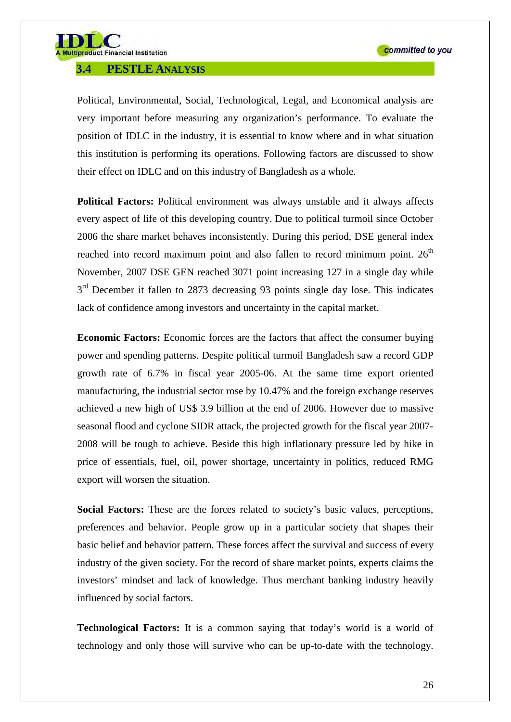

#### **3.4 PESTLE ANALYSIS**

Political, Environmental, Social, Technological, Legal, and Economical analysis are very important before measuring any organization's performance. To evaluate the position of IDLC in the industry, it is essential to know where and in what situation this institution is performing its operations. Following factors are discussed to show their effect on IDLC and on this industry of Bangladesh as a whole.

**Political Factors:** Political environment was always unstable and it always affects every aspect of life of this developing country. Due to political turmoil since October 2006 the share market behaves inconsistently. During this period, DSE general index reached into record maximum point and also fallen to record minimum point.  $26<sup>th</sup>$ November, 2007 DSE GEN reached 3071 point increasing 127 in a single day while  $3<sup>rd</sup>$  December it fallen to 2873 decreasing 93 points single day lose. This indicates lack of confidence among investors and uncertainty in the capital market.

**Economic Factors:** Economic forces are the factors that affect the consumer buying power and spending patterns. Despite political turmoil Bangladesh saw a record GDP growth rate of 6.7% in fiscal year 2005-06. At the same time export oriented manufacturing, the industrial sector rose by 10.47% and the foreign exchange reserves achieved a new high of US\$ 3.9 billion at the end of 2006. However due to massive seasonal flood and cyclone SIDR attack, the projected growth for the fiscal year 2007- 2008 will be tough to achieve. Beside this high inflationary pressure led by hike in price of essentials, fuel, oil, power shortage, uncertainty in politics, reduced RMG export will worsen the situation.

**Social Factors:** These are the forces related to society's basic values, perceptions, preferences and behavior. People grow up in a particular society that shapes their basic belief and behavior pattern. These forces affect the survival and success of every industry of the given society. For the record of share market points, experts claims the investors' mindset and lack of knowledge. Thus merchant banking industry heavily influenced by social factors.

**Technological Factors:** It is a common saying that today's world is a world of technology and only those will survive who can be up-to-date with the technology.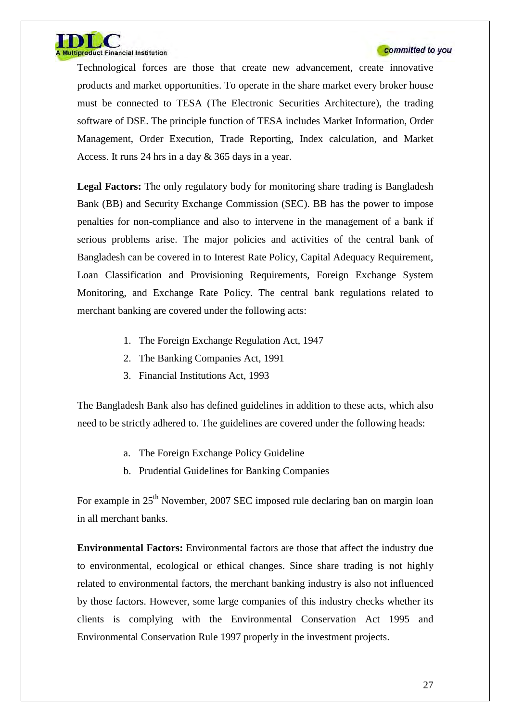

Technological forces are those that create new advancement, create innovative products and market opportunities. To operate in the share market every broker house must be connected to TESA (The Electronic Securities Architecture), the trading software of DSE. The principle function of TESA includes Market Information, Order Management, Order Execution, Trade Reporting, Index calculation, and Market Access. It runs 24 hrs in a day & 365 days in a year.

**Legal Factors:** The only regulatory body for monitoring share trading is Bangladesh Bank (BB) and Security Exchange Commission (SEC). BB has the power to impose penalties for non-compliance and also to intervene in the management of a bank if serious problems arise. The major policies and activities of the central bank of Bangladesh can be covered in to Interest Rate Policy, Capital Adequacy Requirement, Loan Classification and Provisioning Requirements, Foreign Exchange System Monitoring, and Exchange Rate Policy. The central bank regulations related to merchant banking are covered under the following acts:

- 1. The Foreign Exchange Regulation Act, 1947
- 2. The Banking Companies Act, 1991
- 3. Financial Institutions Act, 1993

The Bangladesh Bank also has defined guidelines in addition to these acts, which also need to be strictly adhered to. The guidelines are covered under the following heads:

- a. The Foreign Exchange Policy Guideline
- b. Prudential Guidelines for Banking Companies

For example in 25<sup>th</sup> November, 2007 SEC imposed rule declaring ban on margin loan in all merchant banks.

**Environmental Factors:** Environmental factors are those that affect the industry due to environmental, ecological or ethical changes. Since share trading is not highly related to environmental factors, the merchant banking industry is also not influenced by those factors. However, some large companies of this industry checks whether its clients is complying with the Environmental Conservation Act 1995 and Environmental Conservation Rule 1997 properly in the investment projects.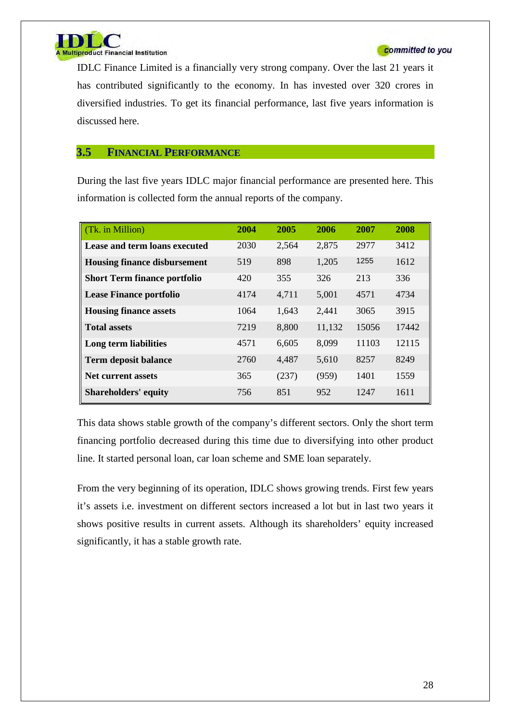

IDLC Finance Limited is a financially very strong company. Over the last 21 years it has contributed significantly to the economy. In has invested over 320 crores in diversified industries. To get its financial performance, last five years information is discussed here.

#### **3.5 FINANCIAL PERFORMANCE**

During the last five years IDLC major financial performance are presented here. This information is collected form the annual reports of the company.

| (Tk. in Million)                    | 2004 | 2005  | 2006   | 2007  | 2008  |
|-------------------------------------|------|-------|--------|-------|-------|
| Lease and term loans executed       | 2030 | 2,564 | 2,875  | 2977  | 3412  |
| <b>Housing finance disbursement</b> | 519  | 898   | 1,205  | 1255  | 1612  |
| <b>Short Term finance portfolio</b> | 420  | 355   | 326    | 213   | 336   |
| <b>Lease Finance portfolio</b>      | 4174 | 4,711 | 5,001  | 4571  | 4734  |
| <b>Housing finance assets</b>       | 1064 | 1,643 | 2,441  | 3065  | 3915  |
| <b>Total assets</b>                 | 7219 | 8,800 | 11,132 | 15056 | 17442 |
| Long term liabilities               | 4571 | 6,605 | 8,099  | 11103 | 12115 |
| <b>Term deposit balance</b>         | 2760 | 4,487 | 5,610  | 8257  | 8249  |
| <b>Net current assets</b>           | 365  | (237) | (959)  | 1401  | 1559  |
| <b>Shareholders' equity</b>         | 756  | 851   | 952    | 1247  | 1611  |

This data shows stable growth of the company's different sectors. Only the short term financing portfolio decreased during this time due to diversifying into other product line. It started personal loan, car loan scheme and SME loan separately.

From the very beginning of its operation, IDLC shows growing trends. First few years it's assets i.e. investment on different sectors increased a lot but in last two years it shows positive results in current assets. Although its shareholders' equity increased significantly, it has a stable growth rate.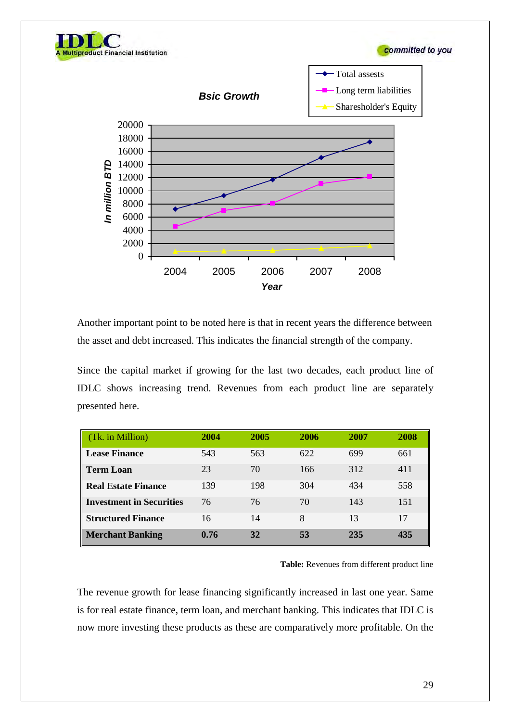





Another important point to be noted here is that in recent years the difference between the asset and debt increased. This indicates the financial strength of the company.

Since the capital market if growing for the last two decades, each product line of IDLC shows increasing trend. Revenues from each product line are separately presented here.

| (Tk. in Million)                | 2004 | 2005 | 2006 | 2007 | 2008 |
|---------------------------------|------|------|------|------|------|
| Lease Finance                   | 543  | 563  | 622  | 699  | 661  |
| <b>Term Loan</b>                | 23   | 70   | 166  | 312  | 411  |
| Real Estate Finance             | 139  | 198  | 304  | 434  | 558  |
| <b>Investment in Securities</b> | 76   | 76   | 70   | 143  | 151  |
| <b>Structured Finance</b>       | 16   | 14   | 8    | 13   | 17   |
| <b>Merchant Banking</b>         | 0.76 | 32   | 53   | 235  | 435  |

**Table:** Revenues from different product line

The revenue growth for lease financing significantly increased in last one year. Same is for real estate finance, term loan, and merchant banking. This indicates that IDLC is now more investing these products as these are comparatively more profitable. On the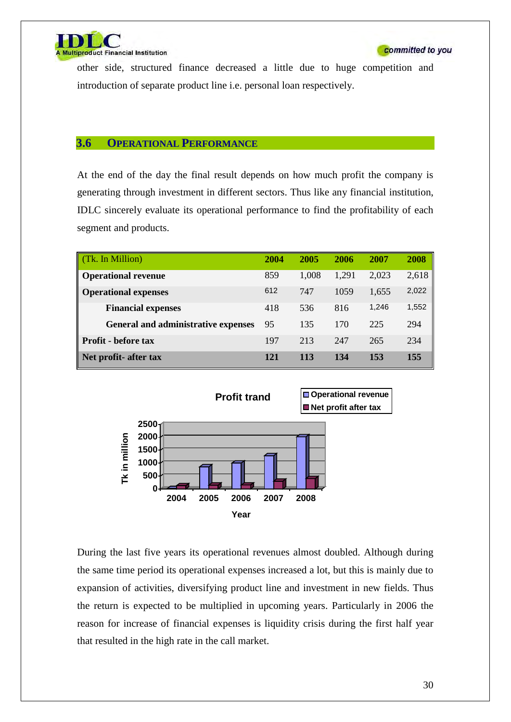

other side, structured finance decreased a little due to huge competition and introduction of separate product line i.e. personal loan respectively.

#### **3.6 OPERATIONAL PERFORMANCE**

At the end of the day the final result depends on how much profit the company is generating through investment in different sectors. Thus like any financial institution, IDLC sincerely evaluate its operational performance to find the profitability of each segment and products.

| (Tk. In Million)                           | 2004 | 2005  | 2006  | 2007  | 2008  |
|--------------------------------------------|------|-------|-------|-------|-------|
| <b>Operational revenue</b>                 | 859  | 1,008 | 1,291 | 2,023 | 2,618 |
| <b>Operational expenses</b>                | 612  | 747   | 1059  | 1,655 | 2,022 |
| <b>Financial expenses</b>                  | 418  | 536   | 816   | 1,246 | 1,552 |
| <b>General and administrative expenses</b> | 95   | 135   | 170   | 225   | 294   |
| <b>Profit</b> - before tax                 | 197  | 213   | 247   | 265   | 234   |
| Net profit- after tax                      | 121  | 113   | 134   | 153   | 155   |



During the last five years its operational revenues almost doubled. Although during the same time period its operational expenses increased a lot, but this is mainly due to expansion of activities, diversifying product line and investment in new fields. Thus the return is expected to be multiplied in upcoming years. Particularly in 2006 the reason for increase of financial expenses is liquidity crisis during the first half year that resulted in the high rate in the call market.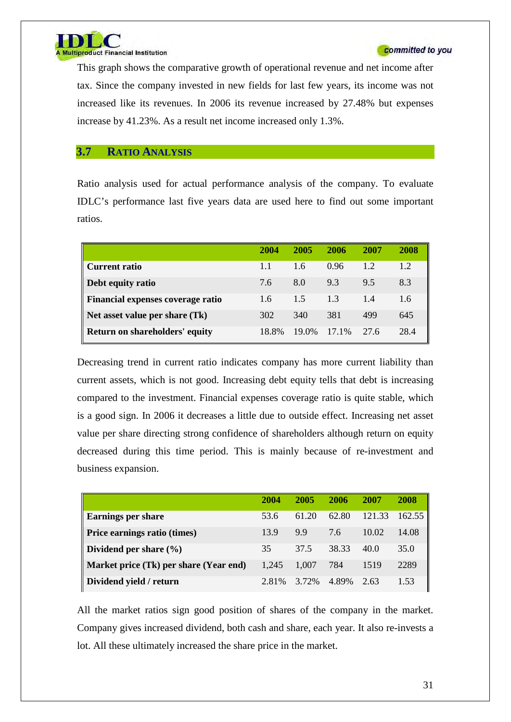

This graph shows the comparative growth of operational revenue and net income after tax. Since the company invested in new fields for last few years, its income was not increased like its revenues. In 2006 its revenue increased by 27.48% but expenses increase by 41.23%. As a result net income increased only 1.3%.

#### **3.7 RATIO ANALYSIS**

Ratio analysis used for actual performance analysis of the company. To evaluate IDLC's performance last five years data are used here to find out some important ratios.

|                                   | 2004  | 2005  | 2006  | 2007 | 2008 |
|-----------------------------------|-------|-------|-------|------|------|
| <b>Current ratio</b>              | 1.1   | 1.6   | 0.96  | 1.2  | 1.2  |
| Debt equity ratio                 | 7.6   | 8.0   | 9.3   | 9.5  | 8.3  |
| Financial expenses coverage ratio | 1.6   | 15    | 1.3   | 14   | 1.6  |
| Net asset value per share (Tk)    | 302   | 340   | 381   | 499  | 645  |
| Return on shareholders' equity    | 18.8% | 19.0% | 17.1% | 27.6 | 28.4 |

Decreasing trend in current ratio indicates company has more current liability than current assets, which is not good. Increasing debt equity tells that debt is increasing compared to the investment. Financial expenses coverage ratio is quite stable, which is a good sign. In 2006 it decreases a little due to outside effect. Increasing net asset value per share directing strong confidence of shareholders although return on equity decreased during this time period. This is mainly because of re-investment and business expansion.

|                                        | 2004  | 2005  | 2006  | 2007   | 2008   |
|----------------------------------------|-------|-------|-------|--------|--------|
| <b>Earnings per share</b>              | 53.6  | 61.20 | 62.80 | 121.33 | 162.55 |
| <b>Price earnings ratio (times)</b>    | 13.9  | 9.9   | 7.6   | 10.02  | 14.08  |
| Dividend per share $(\% )$             | 35    | 37.5  | 38.33 | 40.0   | 35.0   |
| Market price (Tk) per share (Year end) | 1.245 | 1.007 | 784   | 1519   | 2289   |
| Dividend yield / return                | 2.81% | 3.72% | 4.89% | 2.63   | 1.53   |

All the market ratios sign good position of shares of the company in the market. Company gives increased dividend, both cash and share, each year. It also re-invests a lot. All these ultimately increased the share price in the market.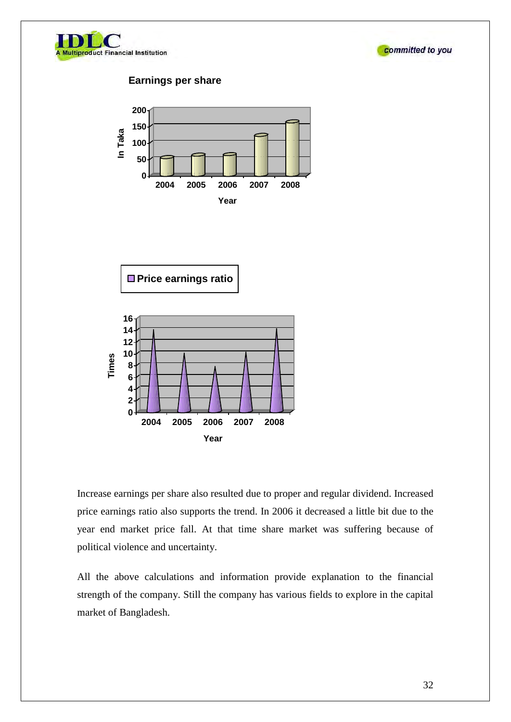



#### **Earnings per share**





Increase earnings per share also resulted due to proper and regular dividend. Increased price earnings ratio also supports the trend. In 2006 it decreased a little bit due to the year end market price fall. At that time share market was suffering because of political violence and uncertainty.

All the above calculations and information provide explanation to the financial strength of the company. Still the company has various fields to explore in the capital market of Bangladesh.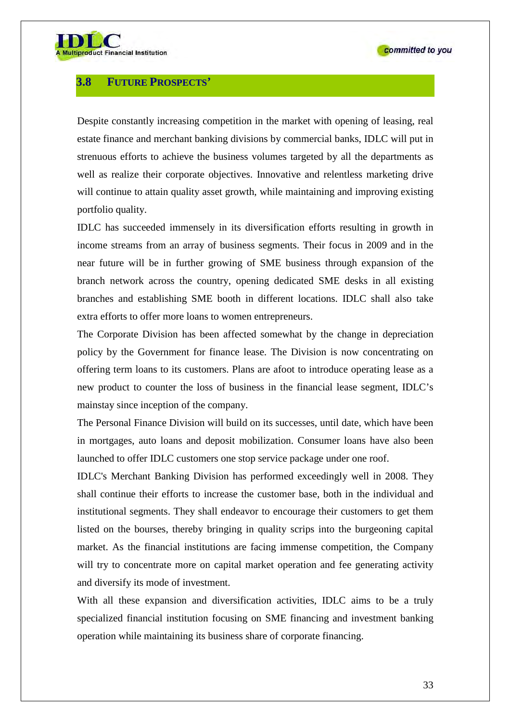

### **3.8 FUTURE PROSPECTS'**

Despite constantly increasing competition in the market with opening of leasing, real estate finance and merchant banking divisions by commercial banks, IDLC will put in strenuous efforts to achieve the business volumes targeted by all the departments as well as realize their corporate objectives. Innovative and relentless marketing drive will continue to attain quality asset growth, while maintaining and improving existing portfolio quality.

IDLC has succeeded immensely in its diversification efforts resulting in growth in income streams from an array of business segments. Their focus in 2009 and in the near future will be in further growing of SME business through expansion of the branch network across the country, opening dedicated SME desks in all existing branches and establishing SME booth in different locations. IDLC shall also take extra efforts to offer more loans to women entrepreneurs.

The Corporate Division has been affected somewhat by the change in depreciation policy by the Government for finance lease. The Division is now concentrating on offering term loans to its customers. Plans are afoot to introduce operating lease as a new product to counter the loss of business in the financial lease segment, IDLC's mainstay since inception of the company.

The Personal Finance Division will build on its successes, until date, which have been in mortgages, auto loans and deposit mobilization. Consumer loans have also been launched to offer IDLC customers one stop service package under one roof.

IDLC's Merchant Banking Division has performed exceedingly well in 2008. They shall continue their efforts to increase the customer base, both in the individual and institutional segments. They shall endeavor to encourage their customers to get them listed on the bourses, thereby bringing in quality scrips into the burgeoning capital market. As the financial institutions are facing immense competition, the Company will try to concentrate more on capital market operation and fee generating activity and diversify its mode of investment.

With all these expansion and diversification activities, IDLC aims to be a truly specialized financial institution focusing on SME financing and investment banking operation while maintaining its business share of corporate financing.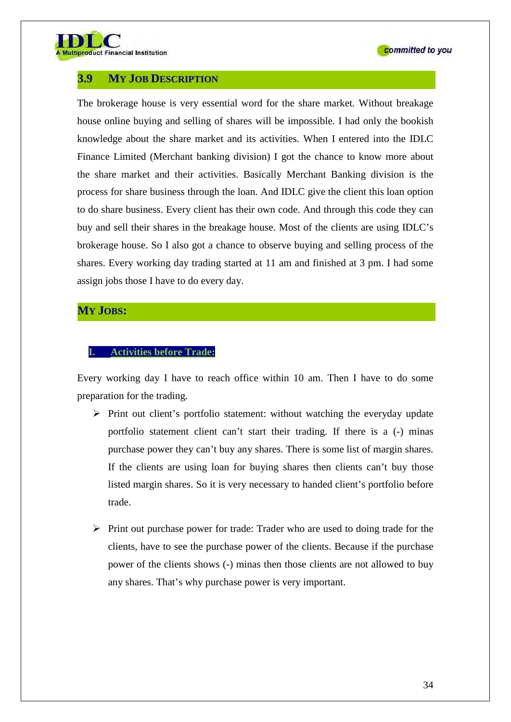

### **3.9 MY JOB DESCRIPTION**

The brokerage house is very essential word for the share market. Without breakage house online buying and selling of shares will be impossible. I had only the bookish knowledge about the share market and its activities. When I entered into the IDLC Finance Limited (Merchant banking division) I got the chance to know more about the share market and their activities. Basically Merchant Banking division is the process for share business through the loan. And IDLC give the client this loan option to do share business. Every client has their own code. And through this code they can buy and sell their shares in the breakage house. Most of the clients are using IDLC's brokerage house. So I also got a chance to observe buying and selling process of the shares. Every working day trading started at 11 am and finished at 3 pm. I had some assign jobs those I have to do every day.

#### **MY JOBS:**

#### **I. Activities before Trade:**

Every working day I have to reach office within 10 am. Then I have to do some preparation for the trading.

- $\triangleright$  Print out client's portfolio statement: without watching the everyday update portfolio statement client can't start their trading. If there is a (-) minas purchase power they can't buy any shares. There is some list of margin shares. If the clients are using loan for buying shares then clients can't buy those listed margin shares. So it is very necessary to handed client's portfolio before trade.
- $\triangleright$  Print out purchase power for trade: Trader who are used to doing trade for the clients, have to see the purchase power of the clients. Because if the purchase power of the clients shows (-) minas then those clients are not allowed to buy any shares. That's why purchase power is very important.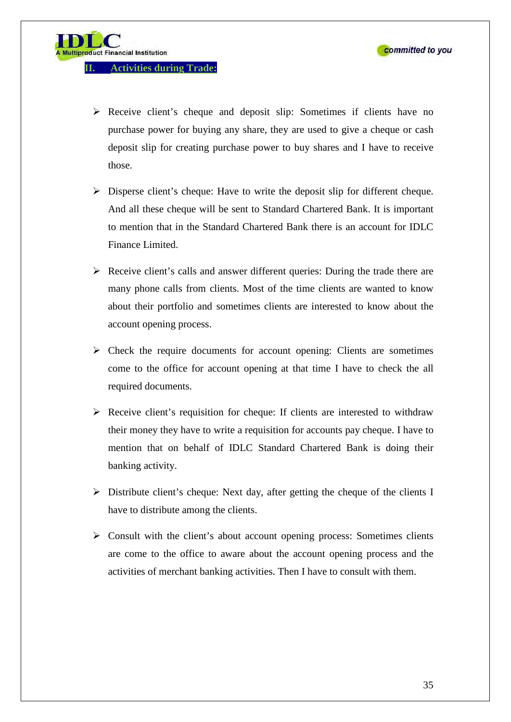product Financial Institution

- Receive client's cheque and deposit slip: Sometimes if clients have no purchase power for buying any share, they are used to give a cheque or cash deposit slip for creating purchase power to buy shares and I have to receive those.
- $\triangleright$  Disperse client's cheque: Have to write the deposit slip for different cheque. And all these cheque will be sent to Standard Chartered Bank. It is important to mention that in the Standard Chartered Bank there is an account for IDLC Finance Limited.
- $\triangleright$  Receive client's calls and answer different queries: During the trade there are many phone calls from clients. Most of the time clients are wanted to know about their portfolio and sometimes clients are interested to know about the account opening process.
- $\triangleright$  Check the require documents for account opening: Clients are sometimes come to the office for account opening at that time I have to check the all required documents.
- $\triangleright$  Receive client's requisition for cheque: If clients are interested to withdraw their money they have to write a requisition for accounts pay cheque. I have to mention that on behalf of IDLC Standard Chartered Bank is doing their banking activity.
- $\triangleright$  Distribute client's cheque: Next day, after getting the cheque of the clients I have to distribute among the clients.
- $\triangleright$  Consult with the client's about account opening process: Sometimes clients are come to the office to aware about the account opening process and the activities of merchant banking activities. Then I have to consult with them.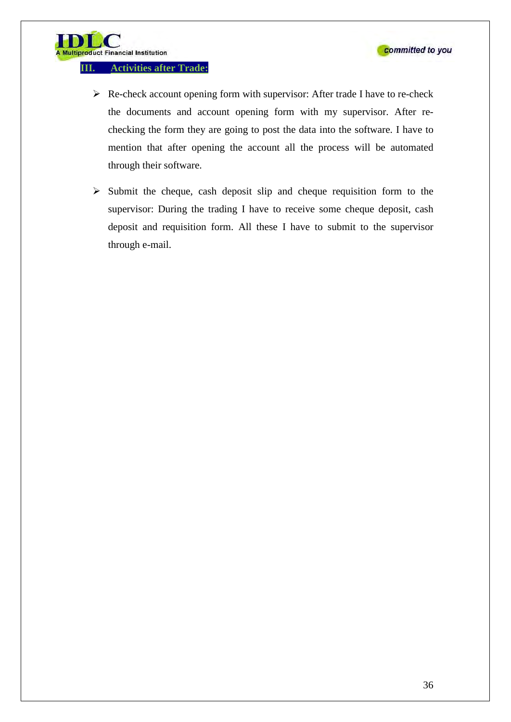**III. Activities after Trade:** 

**Iltiproduct Financial Institution** 

- $\triangleright$  Re-check account opening form with supervisor: After trade I have to re-check the documents and account opening form with my supervisor. After rechecking the form they are going to post the data into the software. I have to mention that after opening the account all the process will be automated through their software.
- $\triangleright$  Submit the cheque, cash deposit slip and cheque requisition form to the supervisor: During the trading I have to receive some cheque deposit, cash deposit and requisition form. All these I have to submit to the supervisor through e-mail.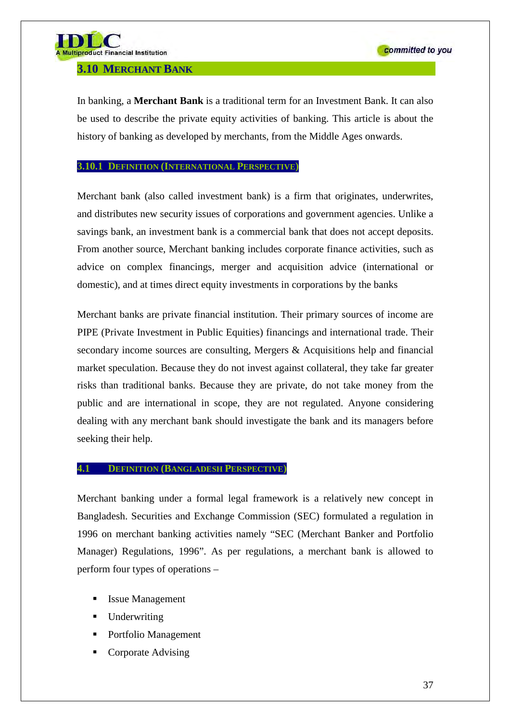## **3.10 MERCHANT BANK**

In banking, a **Merchant Bank** is a traditional term for an Investment Bank. It can also be used to describe the private equity activities of banking. This article is about the history of banking as developed by merchants, from the Middle Ages onwards.

## **3.10.1 DEFINITION (INTERNATIONAL PERSPECTIVE)**

Merchant bank (also called investment bank) is a firm that originates, underwrites, and distributes new security issues of corporations and government agencies. Unlike a savings bank, an investment bank is a commercial bank that does not accept deposits. From another source, Merchant banking includes corporate finance activities, such as advice on complex financings, merger and acquisition advice (international or domestic), and at times direct equity investments in corporations by the banks

Merchant banks are private financial institution. Their primary sources of income are PIPE (Private Investment in Public Equities) financings and international trade. Their secondary income sources are consulting, Mergers & Acquisitions help and financial market speculation. Because they do not invest against collateral, they take far greater risks than traditional banks. Because they are private, do not take money from the public and are international in scope, they are not regulated. Anyone considering dealing with any merchant bank should investigate the bank and its managers before seeking their help.

## **4.1 DEFINITION (BANGLADESH PERSPECTIVE)**

Merchant banking under a formal legal framework is a relatively new concept in Bangladesh. Securities and Exchange Commission (SEC) formulated a regulation in 1996 on merchant banking activities namely "SEC (Merchant Banker and Portfolio Manager) Regulations, 1996". As per regulations, a merchant bank is allowed to perform four types of operations –

- Issue Management
- **Underwriting**
- Portfolio Management
- Corporate Advising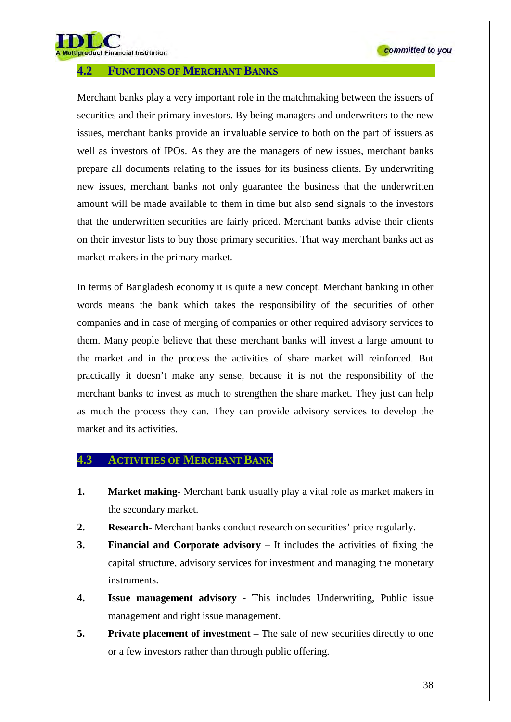

tiproduct Financial Institution

## **4.2 FUNCTIONS OF MERCHANT BANKS**

Merchant banks play a very important role in the matchmaking between the issuers of securities and their primary investors. By being managers and underwriters to the new issues, merchant banks provide an invaluable service to both on the part of issuers as well as investors of IPOs. As they are the managers of new issues, merchant banks prepare all documents relating to the issues for its business clients. By underwriting new issues, merchant banks not only guarantee the business that the underwritten amount will be made available to them in time but also send signals to the investors that the underwritten securities are fairly priced. Merchant banks advise their clients on their investor lists to buy those primary securities. That way merchant banks act as market makers in the primary market.

In terms of Bangladesh economy it is quite a new concept. Merchant banking in other words means the bank which takes the responsibility of the securities of other companies and in case of merging of companies or other required advisory services to them. Many people believe that these merchant banks will invest a large amount to the market and in the process the activities of share market will reinforced. But practically it doesn't make any sense, because it is not the responsibility of the merchant banks to invest as much to strengthen the share market. They just can help as much the process they can. They can provide advisory services to develop the market and its activities.

# **4.3 ACTIVITIES OF MERCHANT BANK**

- **1. Market making-** Merchant bank usually play a vital role as market makers in the secondary market.
- **2. Research-** Merchant banks conduct research on securities' price regularly.
- **3. Financial and Corporate advisory** It includes the activities of fixing the capital structure, advisory services for investment and managing the monetary instruments.
- **4. Issue management advisory** This includes Underwriting, Public issue management and right issue management.
- **5. Private placement of investment** The sale of new securities directly to one or a few investors rather than through public offering.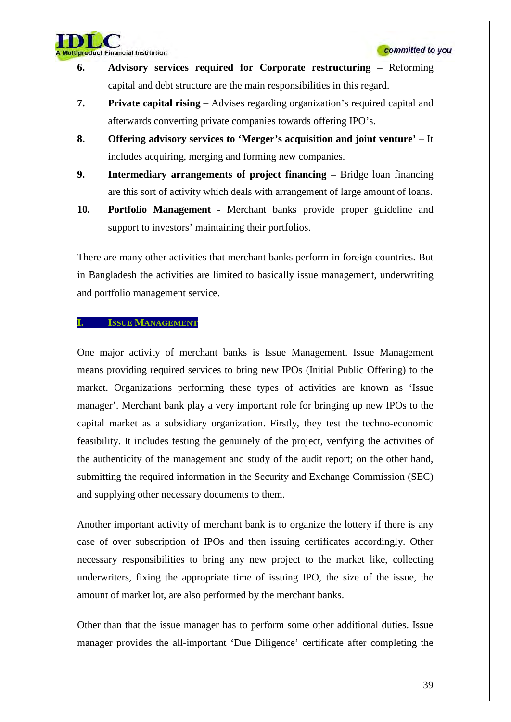- **6. Advisory services required for Corporate restructuring** Reforming capital and debt structure are the main responsibilities in this regard.
- **7. Private capital rising** Advises regarding organization's required capital and afterwards converting private companies towards offering IPO's.
- **8. Offering advisory services to 'Merger's acquisition and joint venture'** It includes acquiring, merging and forming new companies.
- **9. Intermediary arrangements of project financing** Bridge loan financing are this sort of activity which deals with arrangement of large amount of loans.
- **10. Portfolio Management** Merchant banks provide proper guideline and support to investors' maintaining their portfolios.

There are many other activities that merchant banks perform in foreign countries. But in Bangladesh the activities are limited to basically issue management, underwriting and portfolio management service.

#### **ISSUE MANAGEMENT**

**Itiproduct Financial Institution** 

One major activity of merchant banks is Issue Management. Issue Management means providing required services to bring new IPOs (Initial Public Offering) to the market. Organizations performing these types of activities are known as 'Issue manager'. Merchant bank play a very important role for bringing up new IPOs to the capital market as a subsidiary organization. Firstly, they test the techno-economic feasibility. It includes testing the genuinely of the project, verifying the activities of the authenticity of the management and study of the audit report; on the other hand, submitting the required information in the Security and Exchange Commission (SEC) and supplying other necessary documents to them.

Another important activity of merchant bank is to organize the lottery if there is any case of over subscription of IPOs and then issuing certificates accordingly. Other necessary responsibilities to bring any new project to the market like, collecting underwriters, fixing the appropriate time of issuing IPO, the size of the issue, the amount of market lot, are also performed by the merchant banks.

Other than that the issue manager has to perform some other additional duties. Issue manager provides the all-important 'Due Diligence' certificate after completing the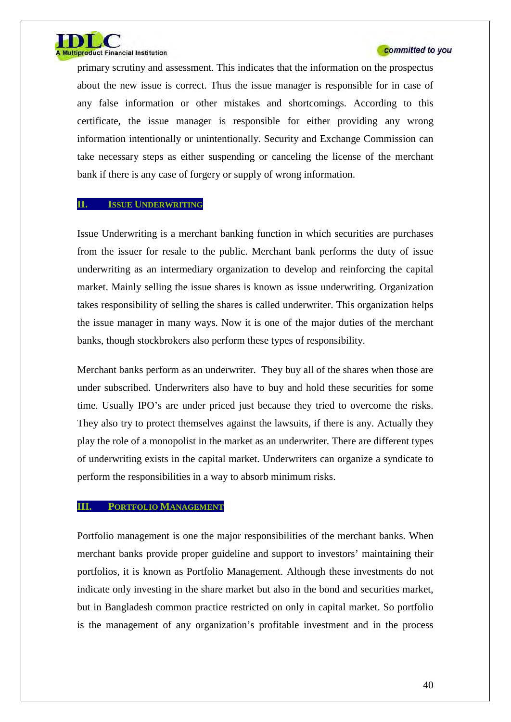

primary scrutiny and assessment. This indicates that the information on the prospectus about the new issue is correct. Thus the issue manager is responsible for in case of any false information or other mistakes and shortcomings. According to this certificate, the issue manager is responsible for either providing any wrong information intentionally or unintentionally. Security and Exchange Commission can take necessary steps as either suspending or canceling the license of the merchant bank if there is any case of forgery or supply of wrong information.

#### **II. ISSUE UNDERWRITING**

Issue Underwriting is a merchant banking function in which securities are purchases from the issuer for resale to the public. Merchant bank performs the duty of issue underwriting as an intermediary organization to develop and reinforcing the capital market. Mainly selling the issue shares is known as issue underwriting. Organization takes responsibility of selling the shares is called underwriter. This organization helps the issue manager in many ways. Now it is one of the major duties of the merchant banks, though stockbrokers also perform these types of responsibility.

Merchant banks perform as an underwriter. They buy all of the shares when those are under subscribed. Underwriters also have to buy and hold these securities for some time. Usually IPO's are under priced just because they tried to overcome the risks. They also try to protect themselves against the lawsuits, if there is any. Actually they play the role of a monopolist in the market as an underwriter. There are different types of underwriting exists in the capital market. Underwriters can organize a syndicate to perform the responsibilities in a way to absorb minimum risks.

## **III. PORTFOLIO MANAGEMENT**

Portfolio management is one the major responsibilities of the merchant banks. When merchant banks provide proper guideline and support to investors' maintaining their portfolios, it is known as Portfolio Management. Although these investments do not indicate only investing in the share market but also in the bond and securities market, but in Bangladesh common practice restricted on only in capital market. So portfolio is the management of any organization's profitable investment and in the process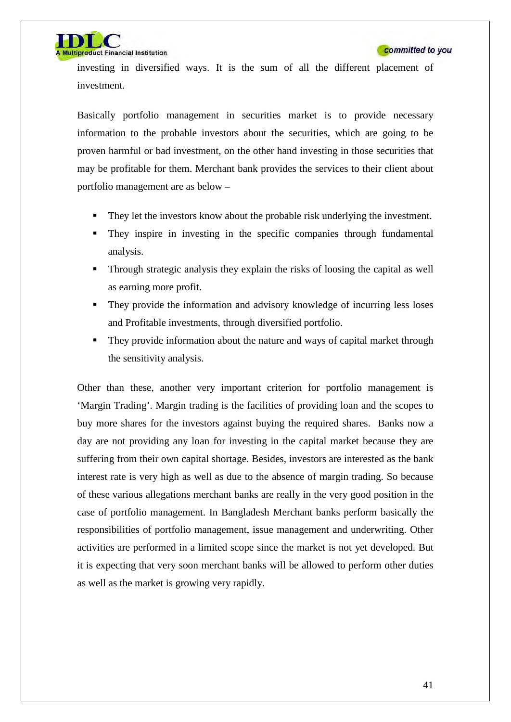iproduct Financial Institution

investing in diversified ways. It is the sum of all the different placement of investment.

Basically portfolio management in securities market is to provide necessary information to the probable investors about the securities, which are going to be proven harmful or bad investment, on the other hand investing in those securities that may be profitable for them. Merchant bank provides the services to their client about portfolio management are as below –

- They let the investors know about the probable risk underlying the investment.
- They inspire in investing in the specific companies through fundamental analysis.
- Through strategic analysis they explain the risks of loosing the capital as well as earning more profit.
- They provide the information and advisory knowledge of incurring less loses and Profitable investments, through diversified portfolio.
- They provide information about the nature and ways of capital market through the sensitivity analysis.

Other than these, another very important criterion for portfolio management is 'Margin Trading'. Margin trading is the facilities of providing loan and the scopes to buy more shares for the investors against buying the required shares. Banks now a day are not providing any loan for investing in the capital market because they are suffering from their own capital shortage. Besides, investors are interested as the bank interest rate is very high as well as due to the absence of margin trading. So because of these various allegations merchant banks are really in the very good position in the case of portfolio management. In Bangladesh Merchant banks perform basically the responsibilities of portfolio management, issue management and underwriting. Other activities are performed in a limited scope since the market is not yet developed. But it is expecting that very soon merchant banks will be allowed to perform other duties as well as the market is growing very rapidly.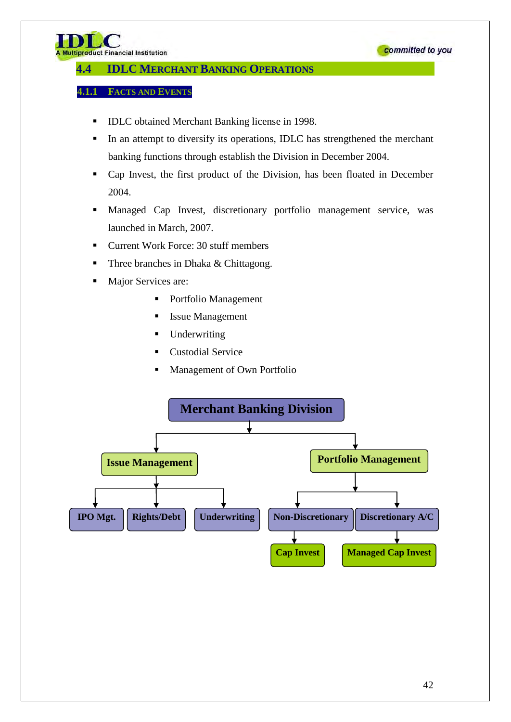

# **4.4 IDLC MERCHANT BANKING OPERATIONS**

## **4.1.1 FACTS AND EVENTS**

- IDLC obtained Merchant Banking license in 1998.
- In an attempt to diversify its operations, IDLC has strengthened the merchant banking functions through establish the Division in December 2004.
- Cap Invest, the first product of the Division, has been floated in December 2004.
- Managed Cap Invest, discretionary portfolio management service, was launched in March, 2007.
- Current Work Force: 30 stuff members
- Three branches in Dhaka & Chittagong.
- Major Services are:
	- Portfolio Management
	- **Issue Management**
	- **Underwriting**
	- Custodial Service
	- Management of Own Portfolio

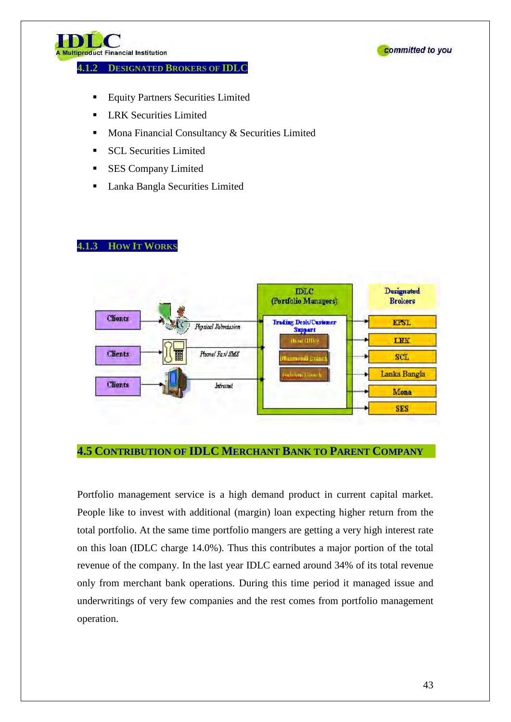

#### **4.1.2 DESIGNATED BROKERS OF IDLC**



- Equity Partners Securities Limited
- LRK Securities Limited
- Mona Financial Consultancy & Securities Limited
- **SCL Securities Limited**
- **SES Company Limited**
- Lanka Bangla Securities Limited

# **4.1.3 HOW IT WORKS**



# **4.5 CONTRIBUTION OF IDLC MERCHANT BANK TO PARENT COMPANY**

Portfolio management service is a high demand product in current capital market. People like to invest with additional (margin) loan expecting higher return from the total portfolio. At the same time portfolio mangers are getting a very high interest rate on this loan (IDLC charge 14.0%). Thus this contributes a major portion of the total revenue of the company. In the last year IDLC earned around 34% of its total revenue only from merchant bank operations. During this time period it managed issue and underwritings of very few companies and the rest comes from portfolio management operation.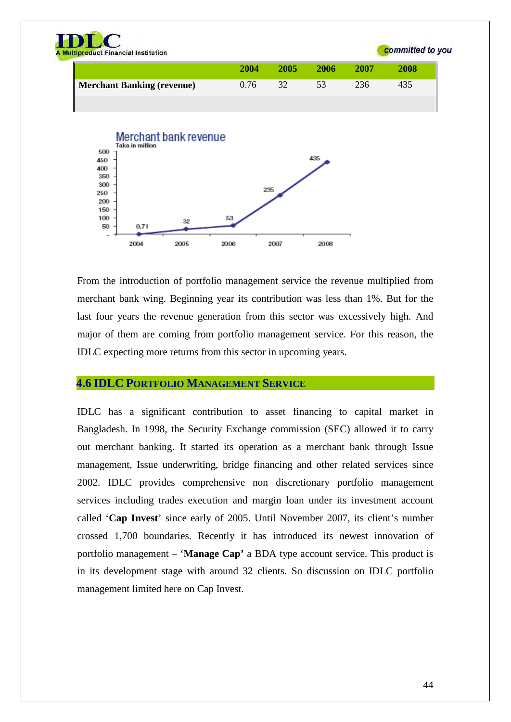

From the introduction of portfolio management service the revenue multiplied from merchant bank wing. Beginning year its contribution was less than 1%. But for the last four years the revenue generation from this sector was excessively high. And major of them are coming from portfolio management service. For this reason, the IDLC expecting more returns from this sector in upcoming years.

# **4.6 IDLC PORTFOLIO MANAGEMENT SERVICE**

IDLC has a significant contribution to asset financing to capital market in Bangladesh. In 1998, the Security Exchange commission (SEC) allowed it to carry out merchant banking. It started its operation as a merchant bank through Issue management, Issue underwriting, bridge financing and other related services since 2002. IDLC provides comprehensive non discretionary portfolio management services including trades execution and margin loan under its investment account called '**Cap Invest**' since early of 2005. Until November 2007, its client's number crossed 1,700 boundaries. Recently it has introduced its newest innovation of portfolio management – '**Manage Cap'** a BDA type account service. This product is in its development stage with around 32 clients. So discussion on IDLC portfolio management limited here on Cap Invest.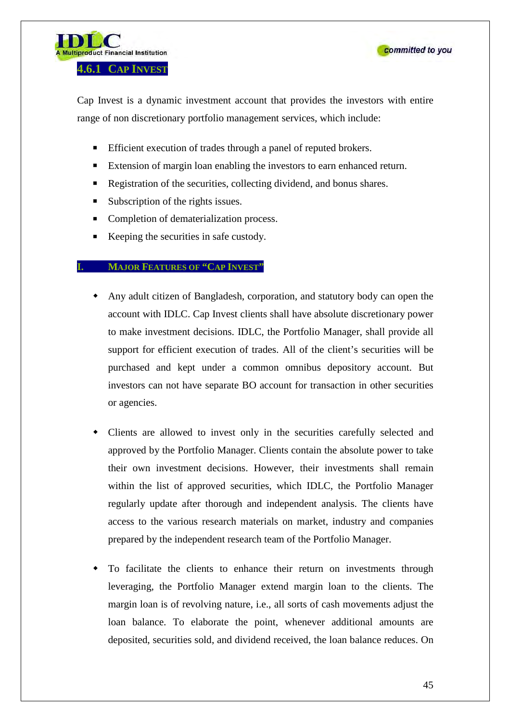



Cap Invest is a dynamic investment account that provides the investors with entire range of non discretionary portfolio management services, which include:

- Efficient execution of trades through a panel of reputed brokers.
- Extension of margin loan enabling the investors to earn enhanced return.
- Registration of the securities, collecting dividend, and bonus shares.
- Subscription of the rights issues.
- Completion of dematerialization process.
- Keeping the securities in safe custody.

#### **MAJOR FEATURES OF "CAP INVEST"**

- Any adult citizen of Bangladesh, corporation, and statutory body can open the account with IDLC. Cap Invest clients shall have absolute discretionary power to make investment decisions. IDLC, the Portfolio Manager, shall provide all support for efficient execution of trades. All of the client's securities will be purchased and kept under a common omnibus depository account. But investors can not have separate BO account for transaction in other securities or agencies.
- Clients are allowed to invest only in the securities carefully selected and approved by the Portfolio Manager. Clients contain the absolute power to take their own investment decisions. However, their investments shall remain within the list of approved securities, which IDLC, the Portfolio Manager regularly update after thorough and independent analysis. The clients have access to the various research materials on market, industry and companies prepared by the independent research team of the Portfolio Manager.
- To facilitate the clients to enhance their return on investments through leveraging, the Portfolio Manager extend margin loan to the clients. The margin loan is of revolving nature, i.e., all sorts of cash movements adjust the loan balance. To elaborate the point, whenever additional amounts are deposited, securities sold, and dividend received, the loan balance reduces. On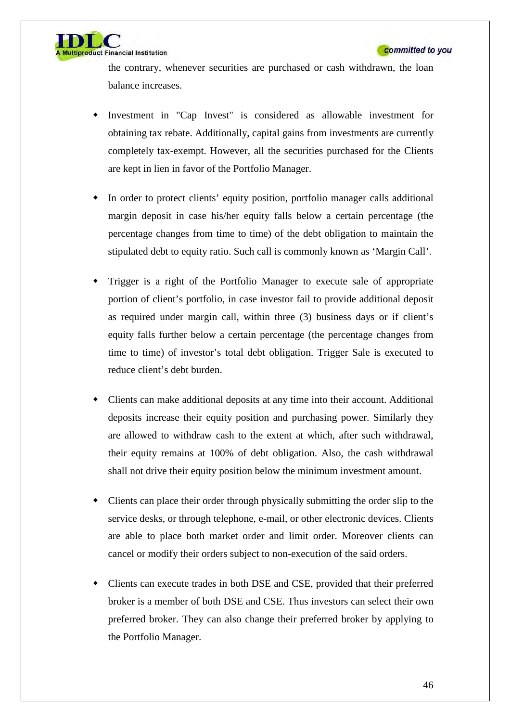

the contrary, whenever securities are purchased or cash withdrawn, the loan balance increases.

- Investment in "Cap Invest" is considered as allowable investment for obtaining tax rebate. Additionally, capital gains from investments are currently completely tax-exempt. However, all the securities purchased for the Clients are kept in lien in favor of the Portfolio Manager.
- In order to protect clients' equity position, portfolio manager calls additional margin deposit in case his/her equity falls below a certain percentage (the percentage changes from time to time) of the debt obligation to maintain the stipulated debt to equity ratio. Such call is commonly known as 'Margin Call'.
- Trigger is a right of the Portfolio Manager to execute sale of appropriate portion of client's portfolio, in case investor fail to provide additional deposit as required under margin call, within three (3) business days or if client's equity falls further below a certain percentage (the percentage changes from time to time) of investor's total debt obligation. Trigger Sale is executed to reduce client's debt burden.
- Clients can make additional deposits at any time into their account. Additional deposits increase their equity position and purchasing power. Similarly they are allowed to withdraw cash to the extent at which, after such withdrawal, their equity remains at 100% of debt obligation. Also, the cash withdrawal shall not drive their equity position below the minimum investment amount.
- Clients can place their order through physically submitting the order slip to the service desks, or through telephone, e-mail, or other electronic devices. Clients are able to place both market order and limit order. Moreover clients can cancel or modify their orders subject to non-execution of the said orders.
- Clients can execute trades in both DSE and CSE, provided that their preferred broker is a member of both DSE and CSE. Thus investors can select their own preferred broker. They can also change their preferred broker by applying to the Portfolio Manager.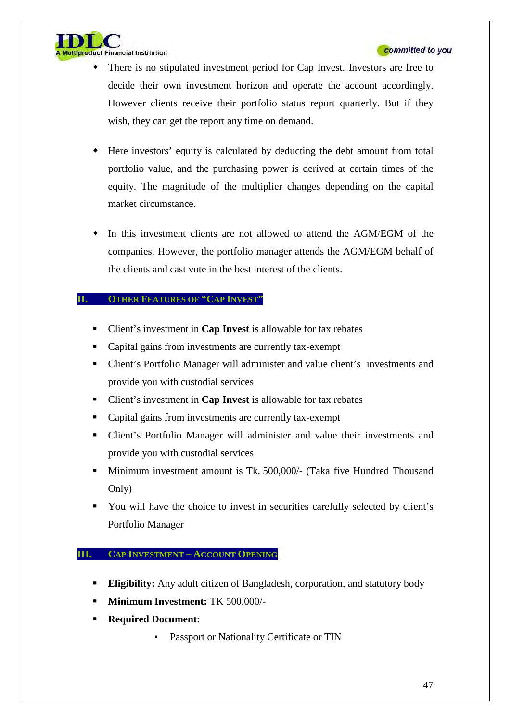

- There is no stipulated investment period for Cap Invest. Investors are free to decide their own investment horizon and operate the account accordingly. However clients receive their portfolio status report quarterly. But if they wish, they can get the report any time on demand.
- Here investors' equity is calculated by deducting the debt amount from total portfolio value, and the purchasing power is derived at certain times of the equity. The magnitude of the multiplier changes depending on the capital market circumstance.
- In this investment clients are not allowed to attend the AGM/EGM of the companies. However, the portfolio manager attends the AGM/EGM behalf of the clients and cast vote in the best interest of the clients.

## **II. OTHER FEATURES OF "CAP INVEST"**

- Client's investment in **Cap Invest** is allowable for tax rebates
- Capital gains from investments are currently tax-exempt
- Client's Portfolio Manager will administer and value client's investments and provide you with custodial services
- Client's investment in **Cap Invest** is allowable for tax rebates
- Capital gains from investments are currently tax-exempt
- Client's Portfolio Manager will administer and value their investments and provide you with custodial services
- Minimum investment amount is Tk. 500,000/- (Taka five Hundred Thousand Only)
- You will have the choice to invest in securities carefully selected by client's Portfolio Manager

## **III. CAP INVESTMENT – ACCOUNT OPENING**

- **Eligibility:** Any adult citizen of Bangladesh, corporation, and statutory body
- **Minimum Investment:** TK 500,000/-
- **Required Document**:
	- Passport or Nationality Certificate or TIN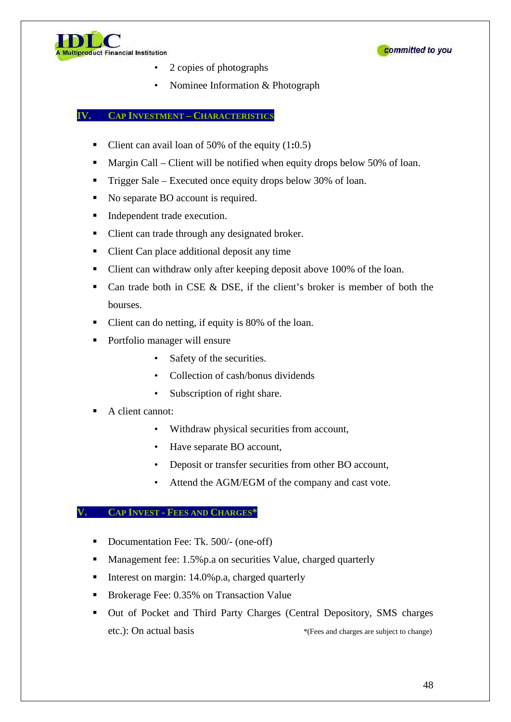



- 2 copies of photographs
- Nominee Information & Photograph

## **IV. CAP INVESTMENT – CHARACTERISTICS**

- Client can avail loan of 50% of the equity (1**:**0.5)
- Margin Call Client will be notified when equity drops below 50% of loan.
- Trigger Sale Executed once equity drops below 30% of loan.
- No separate BO account is required.
- $\blacksquare$  Independent trade execution.
- Client can trade through any designated broker.
- Client Can place additional deposit any time
- Client can withdraw only after keeping deposit above 100% of the loan.
- Can trade both in CSE  $\&$  DSE, if the client's broker is member of both the bourses.
- Client can do netting, if equity is 80% of the loan.
- Portfolio manager will ensure
	- Safety of the securities.
	- Collection of cash/bonus dividends
	- Subscription of right share.

## A client cannot:

- Withdraw physical securities from account,
- Have separate BO account,
- Deposit or transfer securities from other BO account,
- Attend the AGM/EGM of the company and cast vote.

#### **V. CAP INVEST - FEES AND CHARGES\***

- Documentation Fee: Tk. 500/- (one-off)
- **Management fee: 1.5%p.a on securities Value, charged quarterly**
- Interest on margin:  $14.0\%$  p.a, charged quarterly
- Brokerage Fee: 0.35% on Transaction Value
- Out of Pocket and Third Party Charges (Central Depository, SMS charges etc.): On actual basis  $*$ (Fees and charges are subject to change)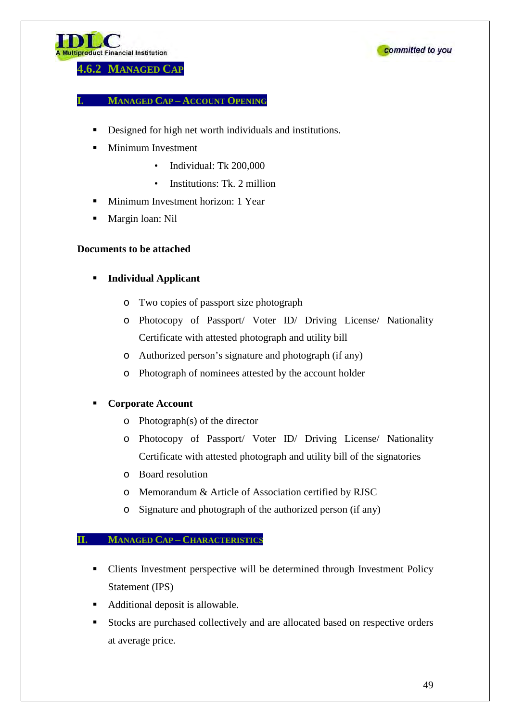



**4.6.2 MANAGED CAP**

## **I. MANAGED CAP – ACCOUNT OPENING**

- Designed for high net worth individuals and institutions.
- Minimum Investment
	- Individual: Tk 200,000
	- Institutions: Tk. 2 million
- **Minimum Investment horizon: 1 Year**
- Margin loan: Nil

# **Documents to be attached**

- **Individual Applicant**
	- o Two copies of passport size photograph
	- o Photocopy of Passport/ Voter ID/ Driving License/ Nationality Certificate with attested photograph and utility bill
	- o Authorized person's signature and photograph (if any)
	- o Photograph of nominees attested by the account holder

## **Corporate Account**

- o Photograph(s) of the director
- o Photocopy of Passport/ Voter ID/ Driving License/ Nationality Certificate with attested photograph and utility bill of the signatories
- o Board resolution
- o Memorandum & Article of Association certified by RJSC
- o Signature and photograph of the authorized person (if any)

## **II. MANAGED CAP – CHARACTERISTICS**

- Clients Investment perspective will be determined through Investment Policy Statement (IPS)
- Additional deposit is allowable.
- Stocks are purchased collectively and are allocated based on respective orders at average price.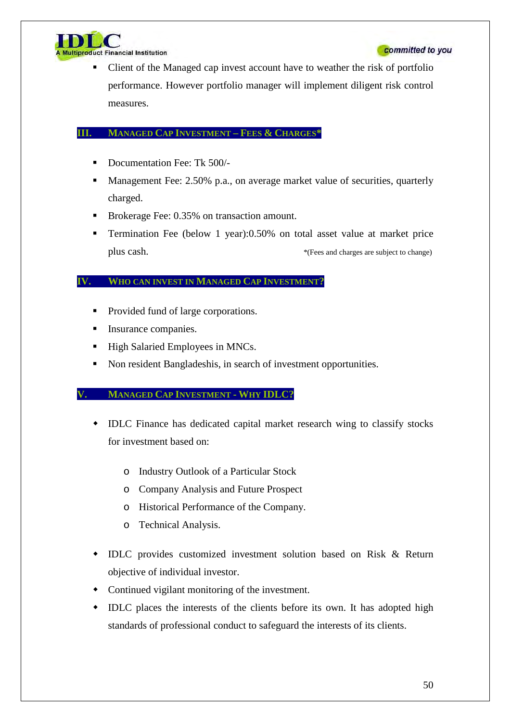

iproduct Financial Institution

 Client of the Managed cap invest account have to weather the risk of portfolio performance. However portfolio manager will implement diligent risk control measures.

# **III. MANAGED CAP INVESTMENT – FEES & CHARGES\***

- Documentation Fee: Tk 500/-
- Management Fee: 2.50% p.a., on average market value of securities, quarterly charged.
- Brokerage Fee: 0.35% on transaction amount.
- Termination Fee (below 1 year):0.50% on total asset value at market price plus cash.  $*$ (Fees and charges are subject to change)

# **IV. WHO CAN INVEST IN MANAGED CAP INVESTMENT?**

- Provided fund of large corporations.
- Insurance companies.
- High Salaried Employees in MNCs.
- Non resident Bangladeshis, in search of investment opportunities.

# **V. MANAGED CAP INVESTMENT - WHY IDLC?**

- IDLC Finance has dedicated capital market research wing to classify stocks for investment based on:
	- o Industry Outlook of a Particular Stock
	- o Company Analysis and Future Prospect
	- o Historical Performance of the Company.
	- o Technical Analysis.
- IDLC provides customized investment solution based on Risk & Return objective of individual investor.
- Continued vigilant monitoring of the investment.
- IDLC places the interests of the clients before its own. It has adopted high standards of professional conduct to safeguard the interests of its clients.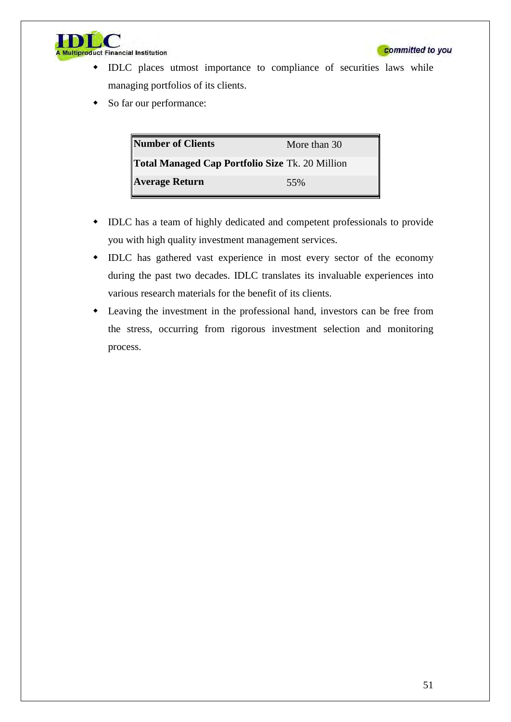

- IDLC places utmost importance to compliance of securities laws while managing portfolios of its clients.
- So far our performance:

| Number of Clients                               | More than 30 |
|-------------------------------------------------|--------------|
| Total Managed Cap Portfolio Size Tk. 20 Million |              |
| <b>Average Return</b>                           | 55%          |

- IDLC has a team of highly dedicated and competent professionals to provide you with high quality investment management services.
- IDLC has gathered vast experience in most every sector of the economy during the past two decades. IDLC translates its invaluable experiences into various research materials for the benefit of its clients.
- Leaving the investment in the professional hand, investors can be free from the stress, occurring from rigorous investment selection and monitoring process.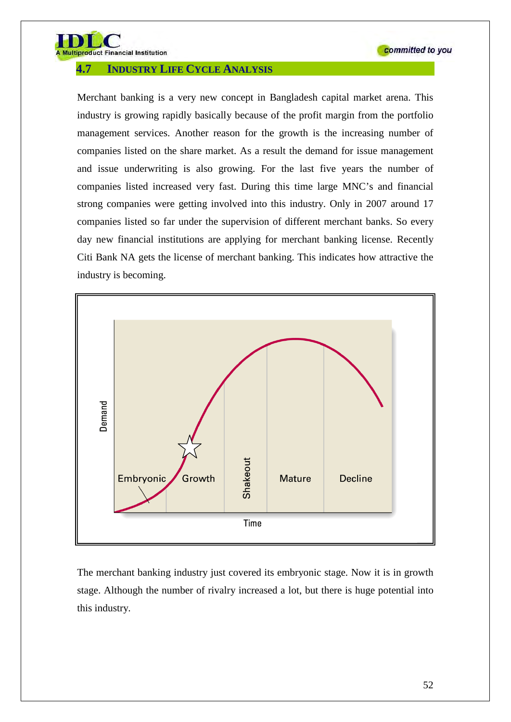

product Financial Institution

# **4.7 INDUSTRY LIFE CYCLE ANALYSIS**

Merchant banking is a very new concept in Bangladesh capital market arena. This industry is growing rapidly basically because of the profit margin from the portfolio management services. Another reason for the growth is the increasing number of companies listed on the share market. As a result the demand for issue management and issue underwriting is also growing. For the last five years the number of companies listed increased very fast. During this time large MNC's and financial strong companies were getting involved into this industry. Only in 2007 around 17 companies listed so far under the supervision of different merchant banks. So every day new financial institutions are applying for merchant banking license. Recently Citi Bank NA gets the license of merchant banking. This indicates how attractive the industry is becoming.



The merchant banking industry just covered its embryonic stage. Now it is in growth stage. Although the number of rivalry increased a lot, but there is huge potential into this industry.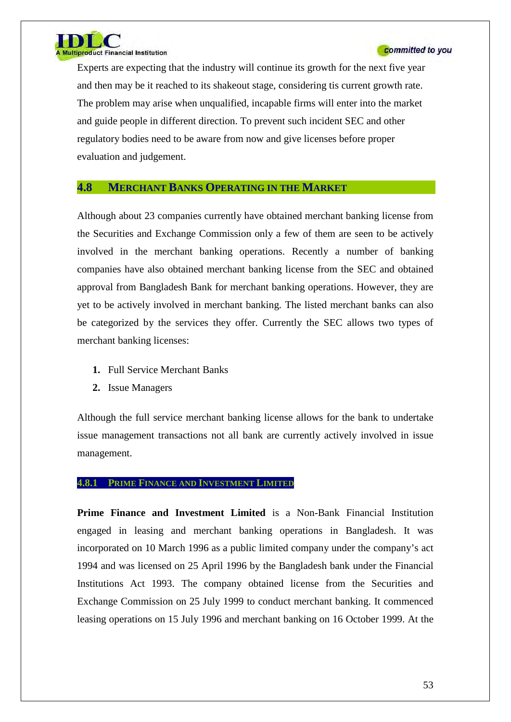

Experts are expecting that the industry will continue its growth for the next five year and then may be it reached to its shakeout stage, considering tis current growth rate. The problem may arise when unqualified, incapable firms will enter into the market and guide people in different direction. To prevent such incident SEC and other regulatory bodies need to be aware from now and give licenses before proper evaluation and judgement.

# **4.8 MERCHANT BANKS OPERATING IN THE MARKET**

Although about 23 companies currently have obtained merchant banking license from the Securities and Exchange Commission only a few of them are seen to be actively involved in the merchant banking operations. Recently a number of banking companies have also obtained merchant banking license from the SEC and obtained approval from Bangladesh Bank for merchant banking operations. However, they are yet to be actively involved in merchant banking. The listed merchant banks can also be categorized by the services they offer. Currently the SEC allows two types of merchant banking licenses:

- **1.** Full Service Merchant Banks
- **2.** Issue Managers

Although the full service merchant banking license allows for the bank to undertake issue management transactions not all bank are currently actively involved in issue management.

#### **4.8.1 PRIME FINANCE AND INVESTMENT LIMITED**

**Prime Finance and Investment Limited** is a Non-Bank Financial Institution engaged in leasing and merchant banking operations in Bangladesh. It was incorporated on 10 March 1996 as a public limited company under the company's act 1994 and was licensed on 25 April 1996 by the Bangladesh bank under the Financial Institutions Act 1993. The company obtained license from the Securities and Exchange Commission on 25 July 1999 to conduct merchant banking. It commenced leasing operations on 15 July 1996 and merchant banking on 16 October 1999. At the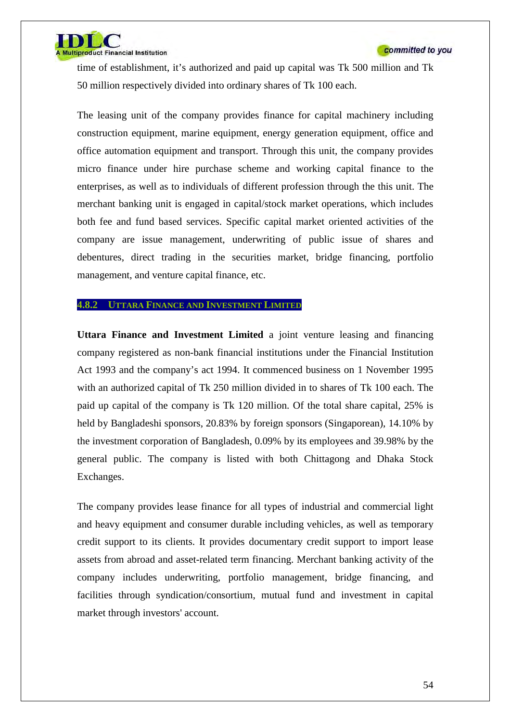

time of establishment, it's authorized and paid up capital was Tk 500 million and Tk 50 million respectively divided into ordinary shares of Tk 100 each.

The leasing unit of the company provides finance for capital machinery including construction equipment, marine equipment, energy generation equipment, office and office automation equipment and transport. Through this unit, the company provides micro finance under hire purchase scheme and working capital finance to the enterprises, as well as to individuals of different profession through the this unit. The merchant banking unit is engaged in capital/stock market operations, which includes both fee and fund based services. Specific capital market oriented activities of the company are issue management, underwriting of public issue of shares and debentures, direct trading in the securities market, bridge financing, portfolio management, and venture capital finance, etc.

## **4.8.2 UTTARA FINANCE AND INVESTMENT LIMITED**

**Uttara Finance and Investment Limited** a joint venture leasing and financing company registered as non-bank financial institutions under the Financial Institution Act 1993 and the company's act 1994. It commenced business on 1 November 1995 with an authorized capital of Tk 250 million divided in to shares of Tk 100 each. The paid up capital of the company is Tk 120 million. Of the total share capital, 25% is held by Bangladeshi sponsors, 20.83% by foreign sponsors (Singaporean), 14.10% by the investment corporation of Bangladesh, 0.09% by its employees and 39.98% by the general public. The company is listed with both Chittagong and Dhaka Stock Exchanges.

The company provides lease finance for all types of industrial and commercial light and heavy equipment and consumer durable including vehicles, as well as temporary credit support to its clients. It provides documentary credit support to import lease assets from abroad and asset-related term financing. Merchant banking activity of the company includes underwriting, portfolio management, bridge financing, and facilities through syndication/consortium, mutual fund and investment in capital market through investors' account.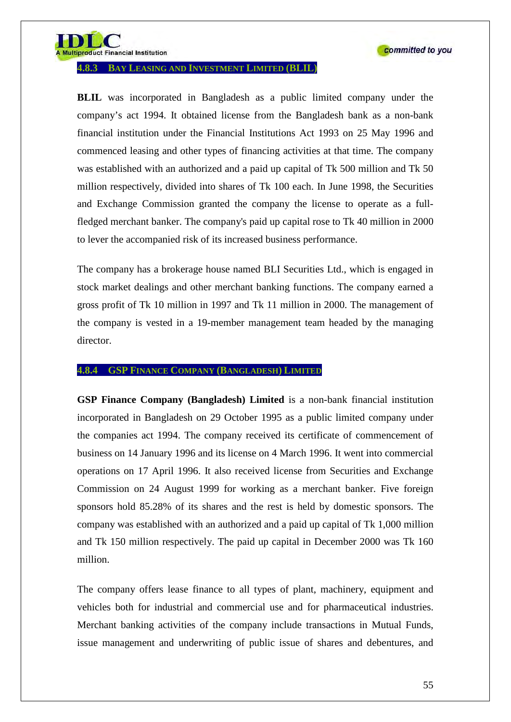

**Itiproduct Financial Institution** 

**4.8.3 BAY LEASING AND INVESTMENT LIMITED (BLIL)**

**BLIL** was incorporated in Bangladesh as a public limited company under the company's act 1994. It obtained license from the Bangladesh bank as a non-bank financial institution under the Financial Institutions Act 1993 on 25 May 1996 and commenced leasing and other types of financing activities at that time. The company was established with an authorized and a paid up capital of Tk 500 million and Tk 50 million respectively, divided into shares of Tk 100 each. In June 1998, the Securities and Exchange Commission granted the company the license to operate as a fullfledged merchant banker. The company's paid up capital rose to Tk 40 million in 2000 to lever the accompanied risk of its increased business performance.

The company has a brokerage house named BLI Securities Ltd., which is engaged in stock market dealings and other merchant banking functions. The company earned a gross profit of Tk 10 million in 1997 and Tk 11 million in 2000. The management of the company is vested in a 19-member management team headed by the managing director.

## **4.8.4 GSP FINANCE COMPANY (BANGLADESH) LIMITED**

**GSP Finance Company (Bangladesh) Limited** is a non-bank financial institution incorporated in Bangladesh on 29 October 1995 as a public limited company under the companies act 1994. The company received its certificate of commencement of business on 14 January 1996 and its license on 4 March 1996. It went into commercial operations on 17 April 1996. It also received license from Securities and Exchange Commission on 24 August 1999 for working as a merchant banker. Five foreign sponsors hold 85.28% of its shares and the rest is held by domestic sponsors. The company was established with an authorized and a paid up capital of Tk 1,000 million and Tk 150 million respectively. The paid up capital in December 2000 was Tk 160 million.

The company offers lease finance to all types of plant, machinery, equipment and vehicles both for industrial and commercial use and for pharmaceutical industries. Merchant banking activities of the company include transactions in Mutual Funds, issue management and underwriting of public issue of shares and debentures, and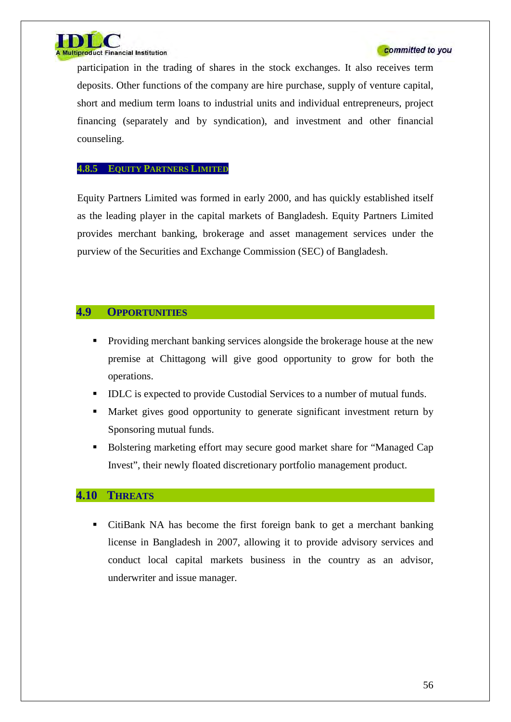

participation in the trading of shares in the stock exchanges. It also receives term deposits. Other functions of the company are hire purchase, supply of venture capital, short and medium term loans to industrial units and individual entrepreneurs, project financing (separately and by syndication), and investment and other financial counseling.

## **4.8.5 EQUITY PARTNERS LIMITED**

Equity Partners Limited was formed in early 2000, and has quickly established itself as the leading player in the capital markets of Bangladesh. Equity Partners Limited provides merchant banking, brokerage and asset management services under the purview of the Securities and Exchange Commission (SEC) of Bangladesh.

# **4.9 OPPORTUNITIES**

- **Providing merchant banking services alongside the brokerage house at the new** premise at Chittagong will give good opportunity to grow for both the operations.
- IDLC is expected to provide Custodial Services to a number of mutual funds.
- Market gives good opportunity to generate significant investment return by Sponsoring mutual funds.
- Bolstering marketing effort may secure good market share for "Managed Cap Invest", their newly floated discretionary portfolio management product.

# **4.10 THREATS**

 CitiBank NA has become the first foreign bank to get a merchant banking license in Bangladesh in 2007, allowing it to provide advisory services and conduct local capital markets business in the country as an advisor, underwriter and issue manager.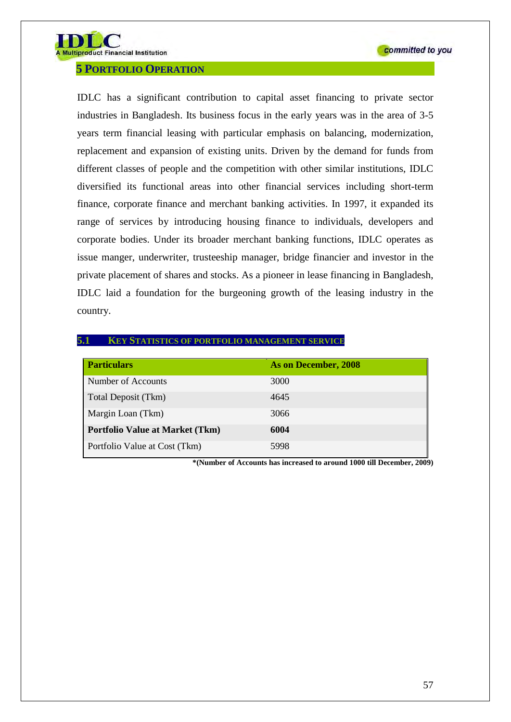

## **5 PORTFOLIO OPERATION**

IDLC has a significant contribution to capital asset financing to private sector industries in Bangladesh. Its business focus in the early years was in the area of 3-5 years term financial leasing with particular emphasis on balancing, modernization, replacement and expansion of existing units. Driven by the demand for funds from different classes of people and the competition with other similar institutions, IDLC diversified its functional areas into other financial services including short-term finance, corporate finance and merchant banking activities. In 1997, it expanded its range of services by introducing housing finance to individuals, developers and corporate bodies. Under its broader merchant banking functions, IDLC operates as issue manger, underwriter, trusteeship manager, bridge financier and investor in the private placement of shares and stocks. As a pioneer in lease financing in Bangladesh, IDLC laid a foundation for the burgeoning growth of the leasing industry in the country.

#### **5.1 KEY STATISTICS OF PORTFOLIO MANAGEMENT SERVICE**

| <b>Particulars</b>                     | As on December, 2008 |
|----------------------------------------|----------------------|
| Number of Accounts                     | 3000                 |
| Total Deposit (Tkm)                    | 4645                 |
| Margin Loan (Tkm)                      | 3066                 |
| <b>Portfolio Value at Market (Tkm)</b> | 6004                 |
| Portfolio Value at Cost (Tkm)          | 5998                 |

**\*(Number of Accounts has increased to around 1000 till December, 2009)**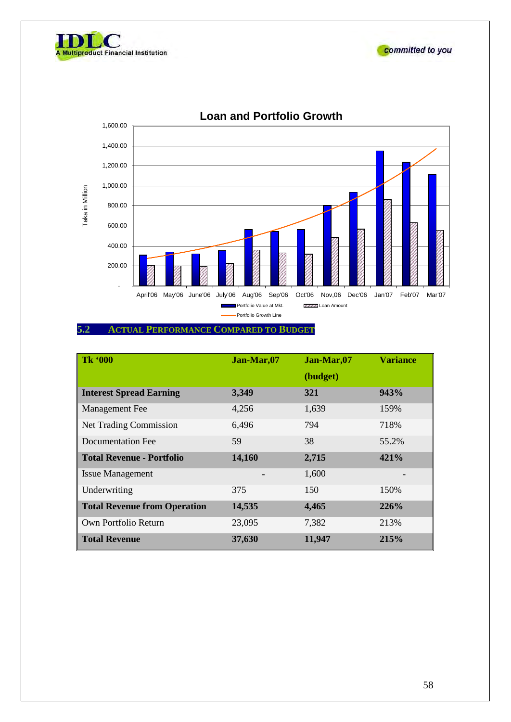





**Loan and Portfolio Growth**

## **5.2 ACTUAL PERFORMANCE COMPARED TO BUDGET**

| <b>Tk '000</b>                      | Jan-Mar,07 | Jan-Mar,07 | <b>Variance</b> |
|-------------------------------------|------------|------------|-----------------|
|                                     |            | (budget)   |                 |
| <b>Interest Spread Earning</b>      | 3,349      | 321        | 943%            |
| Management Fee                      | 4,256      | 1,639      | 159%            |
| <b>Net Trading Commission</b>       | 6,496      | 794        | 718%            |
| Documentation Fee                   | 59         | 38         | 55.2%           |
| <b>Total Revenue - Portfolio</b>    | 14,160     | 2,715      | 421%            |
| <b>Issue Management</b>             |            | 1,600      |                 |
| Underwriting                        | 375        | 150        | 150%            |
| <b>Total Revenue from Operation</b> | 14,535     | 4,465      | 226%            |
| Own Portfolio Return                | 23,095     | 7,382      | 213%            |
| <b>Total Revenue</b>                | 37,630     | 11,947     | 215%            |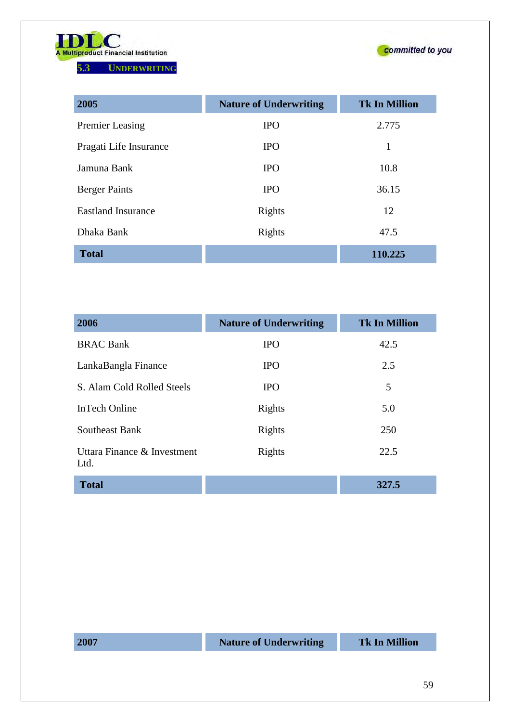

**5.3 UNDERWRITING**



| 2005                      | <b>Nature of Underwriting</b> | <b>Tk In Million</b> |
|---------------------------|-------------------------------|----------------------|
| <b>Premier Leasing</b>    | <b>IPO</b>                    | 2.775                |
| Pragati Life Insurance    | <b>IPO</b>                    | 1                    |
| Jamuna Bank               | <b>IPO</b>                    | 10.8                 |
| <b>Berger Paints</b>      | <b>IPO</b>                    | 36.15                |
| <b>Eastland Insurance</b> | Rights                        | 12                   |
| Dhaka Bank                | Rights                        | 47.5                 |
| <b>Total</b>              |                               | 110.225              |

| 2006                                | <b>Nature of Underwriting</b> | <b>Tk In Million</b> |
|-------------------------------------|-------------------------------|----------------------|
| <b>BRAC Bank</b>                    | <b>IPO</b>                    | 42.5                 |
| LankaBangla Finance                 | <b>IPO</b>                    | 2.5                  |
| S. Alam Cold Rolled Steels          | <b>IPO</b>                    | 5                    |
| <b>InTech Online</b>                | Rights                        | 5.0                  |
| Southeast Bank                      | Rights                        | 250                  |
| Uttara Finance & Investment<br>Ltd. | Rights                        | 22.5                 |
| <b>Total</b>                        |                               | 327.5                |

**2007 Nature of Underwriting Tk In Million**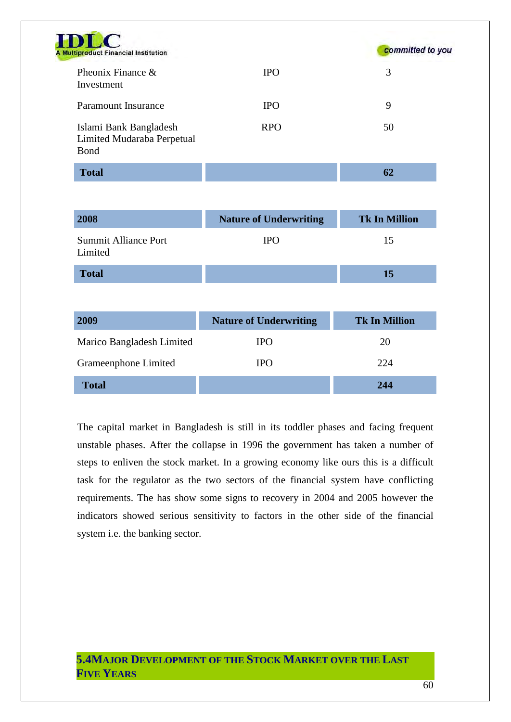| DLC<br><b>Multiproduct Financial Institution</b>             |            | committed to you |
|--------------------------------------------------------------|------------|------------------|
| Pheonix Finance $\&$<br>Investment                           | <b>IPO</b> | 3                |
| Paramount Insurance                                          | <b>IPO</b> | 9                |
| Islami Bank Bangladesh<br>Limited Mudaraba Perpetual<br>Bond | <b>RPO</b> | 50               |
| <b>Total</b>                                                 |            | 62               |

 $\frac{1}{A}$ 

| 2008                                   | <b>Nature of Underwriting</b> | <b>Tk In Million</b> |
|----------------------------------------|-------------------------------|----------------------|
| <b>Summit Alliance Port</b><br>Limited | <b>IPO</b>                    | 15                   |
| <b>Total</b>                           |                               | 15                   |

| 2009                      | <b>Nature of Underwriting</b> | <b>Tk In Million</b> |
|---------------------------|-------------------------------|----------------------|
| Marico Bangladesh Limited | <b>IPO</b>                    | 20                   |
| Grameenphone Limited      | <b>IPO</b>                    | 224                  |
| <b>Total</b>              |                               | 244                  |

The capital market in Bangladesh is still in its toddler phases and facing frequent unstable phases. After the collapse in 1996 the government has taken a number of steps to enliven the stock market. In a growing economy like ours this is a difficult task for the regulator as the two sectors of the financial system have conflicting requirements. The has show some signs to recovery in 2004 and 2005 however the indicators showed serious sensitivity to factors in the other side of the financial system i.e. the banking sector.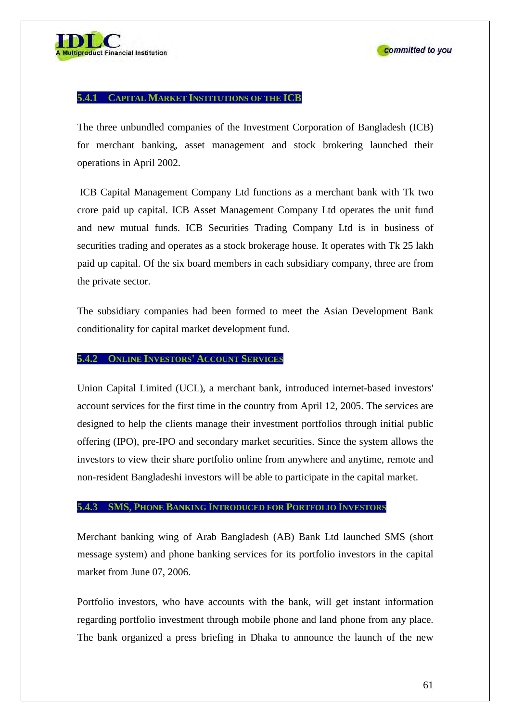#### **5.4.1 CAPITAL MARKET INSTITUTIONS OF THE ICB**

The three unbundled companies of the Investment Corporation of Bangladesh (ICB) for merchant banking, asset management and stock brokering launched their operations in April 2002.

ICB Capital Management Company Ltd functions as a merchant bank with Tk two crore paid up capital. ICB Asset Management Company Ltd operates the unit fund and new mutual funds. ICB Securities Trading Company Ltd is in business of securities trading and operates as a stock brokerage house. It operates with Tk 25 lakh paid up capital. Of the six board members in each subsidiary company, three are from the private sector.

The subsidiary companies had been formed to meet the Asian Development Bank conditionality for capital market development fund.

#### **5.4.2 ONLINE INVESTORS' ACCOUNT SERVICES**

Union Capital Limited (UCL), a merchant bank, introduced internet-based investors' account services for the first time in the country from April 12, 2005. The services are designed to help the clients manage their investment portfolios through initial public offering (IPO), pre-IPO and secondary market securities. Since the system allows the investors to view their share portfolio online from anywhere and anytime, remote and non-resident Bangladeshi investors will be able to participate in the capital market.

## **5.4.3 SMS, PHONE BANKING INTRODUCED FOR PORTFOLIO INVESTORS**

Merchant banking wing of Arab Bangladesh (AB) Bank Ltd launched SMS (short message system) and phone banking services for its portfolio investors in the capital market from June 07, 2006.

Portfolio investors, who have accounts with the bank, will get instant information regarding portfolio investment through mobile phone and land phone from any place. The bank organized a press briefing in Dhaka to announce the launch of the new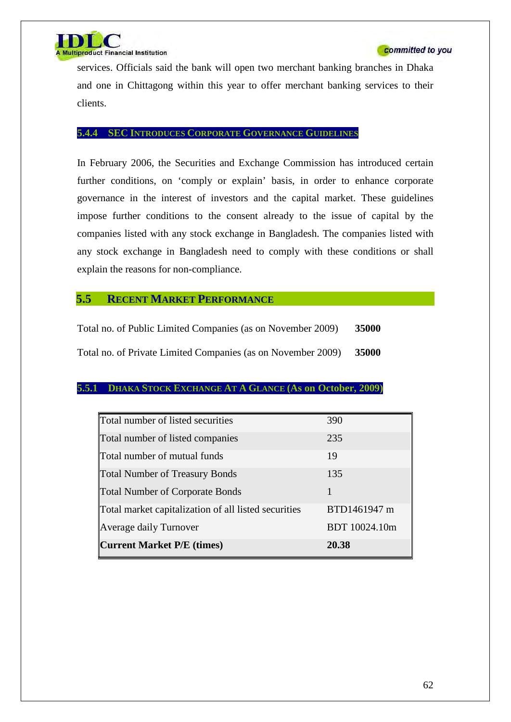

services. Officials said the bank will open two merchant banking branches in Dhaka and one in Chittagong within this year to offer merchant banking services to their clients.

#### **5.4.4 SEC INTRODUCES CORPORATE GOVERNANCE GUIDELINES**

In February 2006, the Securities and Exchange Commission has introduced certain further conditions, on 'comply or explain' basis, in order to enhance corporate governance in the interest of investors and the capital market. These guidelines impose further conditions to the consent already to the issue of capital by the companies listed with any stock exchange in Bangladesh. The companies listed with any stock exchange in Bangladesh need to comply with these conditions or shall explain the reasons for non-compliance.

## **5.5 RECENT MARKET PERFORMANCE**

| Total no. of Public Limited Companies (as on November 2009)  | 35000 |
|--------------------------------------------------------------|-------|
| Total no. of Private Limited Companies (as on November 2009) | 35000 |

#### **5.5.1 DHAKA STOCK EXCHANGE AT A GLANCE (As on October, 2009)**

| Total number of listed securities                    | 390           |
|------------------------------------------------------|---------------|
| Total number of listed companies                     | 235           |
| Total number of mutual funds                         | 19            |
| <b>Total Number of Treasury Bonds</b>                | 135           |
| <b>Total Number of Corporate Bonds</b>               | 1             |
| Total market capitalization of all listed securities | BTD1461947 m  |
| <b>Average daily Turnover</b>                        | BDT 10024.10m |
| <b>Current Market P/E (times)</b>                    | 20.38         |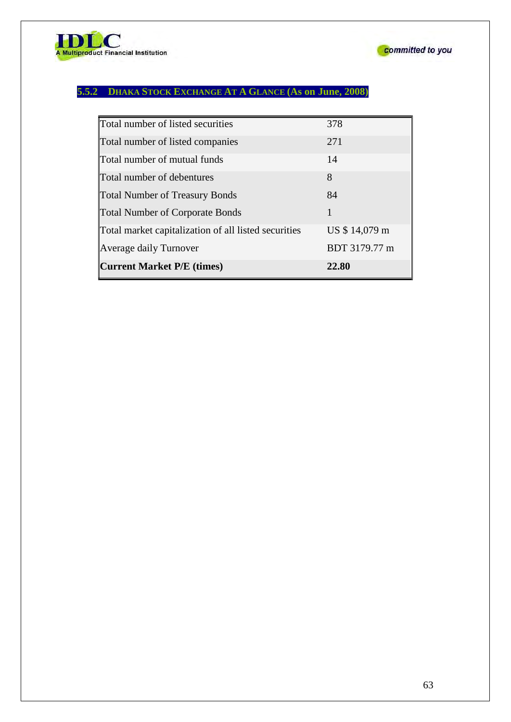

# **5.5.2 DHAKA STOCK EXCHANGE AT A GLANCE (As on June, 2008)**

| Average daily Turnover<br><b>Current Market P/E (times)</b> | BDT 3179.77 m<br>22.80 |
|-------------------------------------------------------------|------------------------|
| Total market capitalization of all listed securities        | US \$14,079 m          |
| <b>Total Number of Corporate Bonds</b>                      |                        |
| <b>Total Number of Treasury Bonds</b>                       | 84                     |
| Total number of debentures                                  | 8                      |
| Total number of mutual funds                                | 14                     |
| Total number of listed companies                            | 271                    |
| Total number of listed securities                           | 378                    |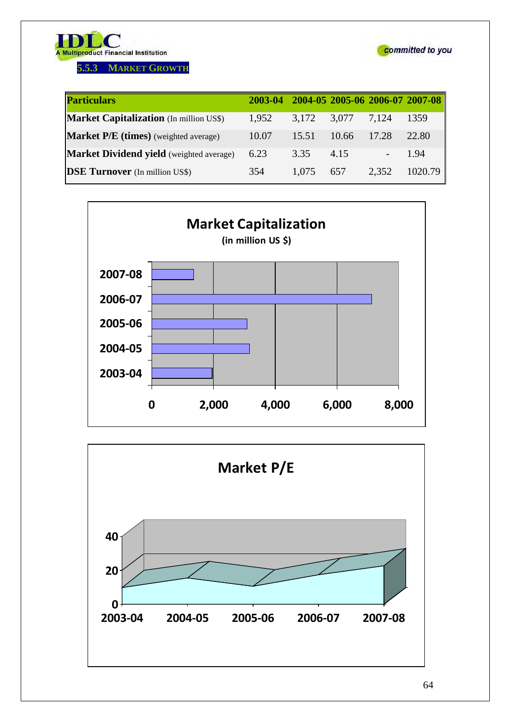

**5.5.3 MARKET GROWTH**



| <b>Particulars</b>                              | 2003-04 |       |       |       | 2004-05 2005-06 2006-07 2007-08 |
|-------------------------------------------------|---------|-------|-------|-------|---------------------------------|
| <b>Market Capitalization</b> (In million US\$)  | 1,952   | 3,172 | 3,077 | 7,124 | 1359                            |
| <b>Market P/E</b> (times) (weighted average)    | 10.07   | 15.51 | 10.66 | 17.28 | 22.80                           |
| <b>Market Dividend yield</b> (weighted average) | 6.23    | 3.35  | 4.15  |       | 1.94                            |
| <b>DSE Turnover</b> (In million US\$)           | 354     | 1,075 | 657   | 2,352 | 1020.79                         |



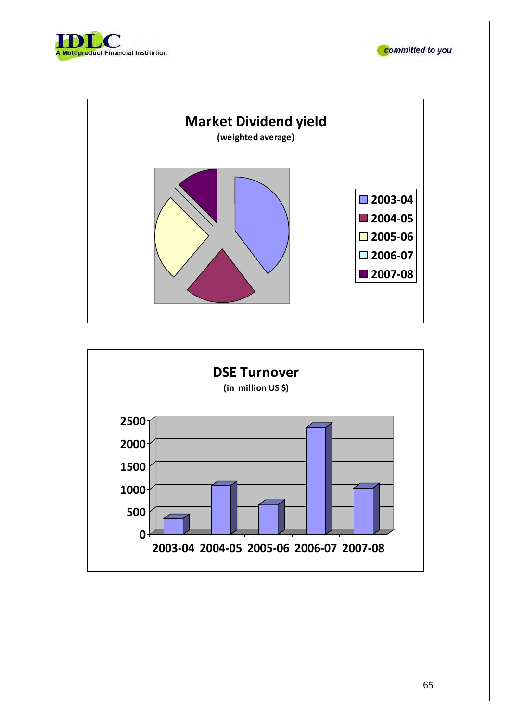





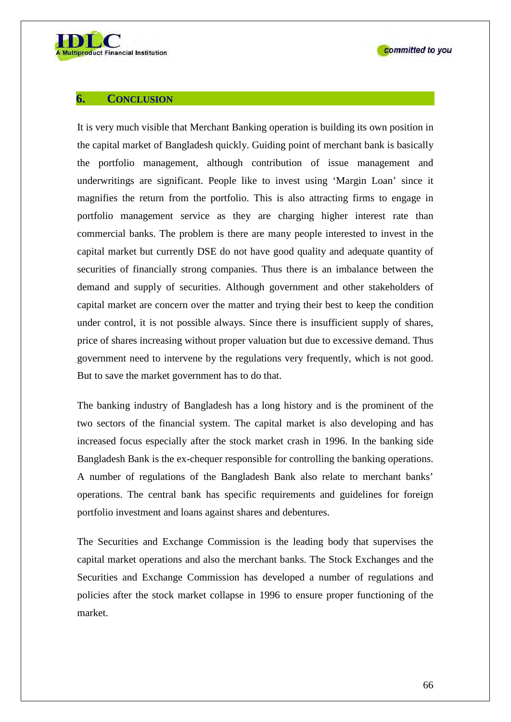

## **6. CONCLUSION**

It is very much visible that Merchant Banking operation is building its own position in the capital market of Bangladesh quickly. Guiding point of merchant bank is basically the portfolio management, although contribution of issue management and underwritings are significant. People like to invest using 'Margin Loan' since it magnifies the return from the portfolio. This is also attracting firms to engage in portfolio management service as they are charging higher interest rate than commercial banks. The problem is there are many people interested to invest in the capital market but currently DSE do not have good quality and adequate quantity of securities of financially strong companies. Thus there is an imbalance between the demand and supply of securities. Although government and other stakeholders of capital market are concern over the matter and trying their best to keep the condition under control, it is not possible always. Since there is insufficient supply of shares, price of shares increasing without proper valuation but due to excessive demand. Thus government need to intervene by the regulations very frequently, which is not good. But to save the market government has to do that.

The banking industry of Bangladesh has a long history and is the prominent of the two sectors of the financial system. The capital market is also developing and has increased focus especially after the stock market crash in 1996. In the banking side Bangladesh Bank is the ex-chequer responsible for controlling the banking operations. A number of regulations of the Bangladesh Bank also relate to merchant banks' operations. The central bank has specific requirements and guidelines for foreign portfolio investment and loans against shares and debentures.

The Securities and Exchange Commission is the leading body that supervises the capital market operations and also the merchant banks. The Stock Exchanges and the Securities and Exchange Commission has developed a number of regulations and policies after the stock market collapse in 1996 to ensure proper functioning of the market.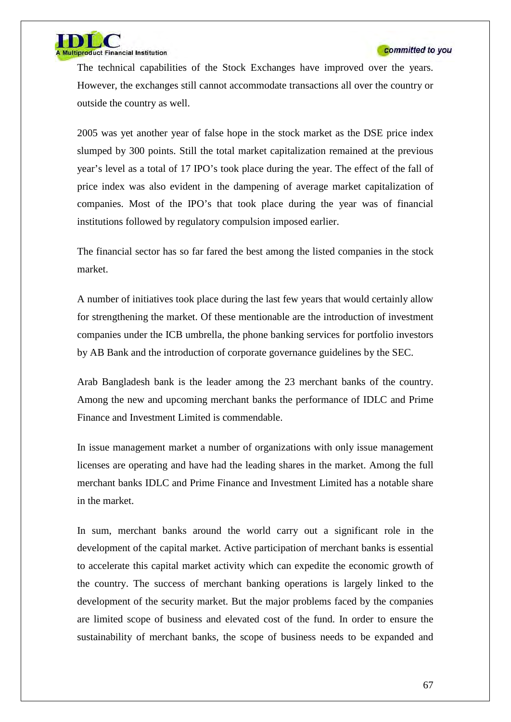

The technical capabilities of the Stock Exchanges have improved over the years. However, the exchanges still cannot accommodate transactions all over the country or outside the country as well.

2005 was yet another year of false hope in the stock market as the DSE price index slumped by 300 points. Still the total market capitalization remained at the previous year's level as a total of 17 IPO's took place during the year. The effect of the fall of price index was also evident in the dampening of average market capitalization of companies. Most of the IPO's that took place during the year was of financial institutions followed by regulatory compulsion imposed earlier.

The financial sector has so far fared the best among the listed companies in the stock market.

A number of initiatives took place during the last few years that would certainly allow for strengthening the market. Of these mentionable are the introduction of investment companies under the ICB umbrella, the phone banking services for portfolio investors by AB Bank and the introduction of corporate governance guidelines by the SEC.

Arab Bangladesh bank is the leader among the 23 merchant banks of the country. Among the new and upcoming merchant banks the performance of IDLC and Prime Finance and Investment Limited is commendable.

In issue management market a number of organizations with only issue management licenses are operating and have had the leading shares in the market. Among the full merchant banks IDLC and Prime Finance and Investment Limited has a notable share in the market.

In sum, merchant banks around the world carry out a significant role in the development of the capital market. Active participation of merchant banks is essential to accelerate this capital market activity which can expedite the economic growth of the country. The success of merchant banking operations is largely linked to the development of the security market. But the major problems faced by the companies are limited scope of business and elevated cost of the fund. In order to ensure the sustainability of merchant banks, the scope of business needs to be expanded and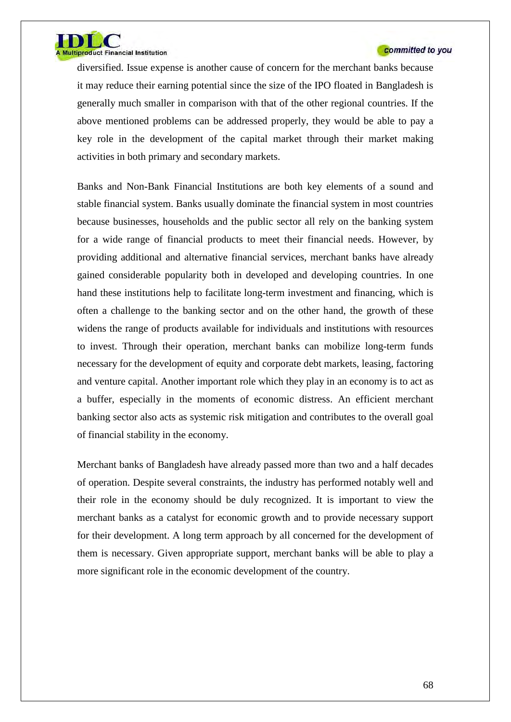

diversified. Issue expense is another cause of concern for the merchant banks because it may reduce their earning potential since the size of the IPO floated in Bangladesh is generally much smaller in comparison with that of the other regional countries. If the above mentioned problems can be addressed properly, they would be able to pay a key role in the development of the capital market through their market making activities in both primary and secondary markets.

Banks and Non-Bank Financial Institutions are both key elements of a sound and stable financial system. Banks usually dominate the financial system in most countries because businesses, households and the public sector all rely on the banking system for a wide range of financial products to meet their financial needs. However, by providing additional and alternative financial services, merchant banks have already gained considerable popularity both in developed and developing countries. In one hand these institutions help to facilitate long-term investment and financing, which is often a challenge to the banking sector and on the other hand, the growth of these widens the range of products available for individuals and institutions with resources to invest. Through their operation, merchant banks can mobilize long-term funds necessary for the development of equity and corporate debt markets, leasing, factoring and venture capital. Another important role which they play in an economy is to act as a buffer, especially in the moments of economic distress. An efficient merchant banking sector also acts as systemic risk mitigation and contributes to the overall goal of financial stability in the economy.

Merchant banks of Bangladesh have already passed more than two and a half decades of operation. Despite several constraints, the industry has performed notably well and their role in the economy should be duly recognized. It is important to view the merchant banks as a catalyst for economic growth and to provide necessary support for their development. A long term approach by all concerned for the development of them is necessary. Given appropriate support, merchant banks will be able to play a more significant role in the economic development of the country.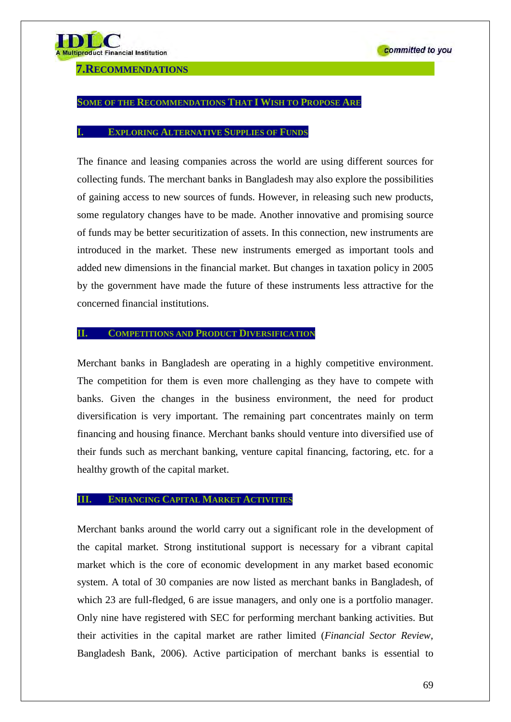### **7.RECOMMENDATIONS**

#### **SOME OF THE RECOMMENDATIONS THAT I WISH TO PROPOSE ARE**

#### **EXPLORING ALTERNATIVE SUPPLIES OF FUNDS**

The finance and leasing companies across the world are using different sources for collecting funds. The merchant banks in Bangladesh may also explore the possibilities of gaining access to new sources of funds. However, in releasing such new products, some regulatory changes have to be made. Another innovative and promising source of funds may be better securitization of assets. In this connection, new instruments are introduced in the market. These new instruments emerged as important tools and added new dimensions in the financial market. But changes in taxation policy in 2005 by the government have made the future of these instruments less attractive for the concerned financial institutions.

#### **II. COMPETITIONS AND PRODUCT DIVERSIFICATION**

Merchant banks in Bangladesh are operating in a highly competitive environment. The competition for them is even more challenging as they have to compete with banks. Given the changes in the business environment, the need for product diversification is very important. The remaining part concentrates mainly on term financing and housing finance. Merchant banks should venture into diversified use of their funds such as merchant banking, venture capital financing, factoring, etc. for a healthy growth of the capital market.

## **III. ENHANCING CAPITAL MARKET ACTIVITIES**

Merchant banks around the world carry out a significant role in the development of the capital market. Strong institutional support is necessary for a vibrant capital market which is the core of economic development in any market based economic system. A total of 30 companies are now listed as merchant banks in Bangladesh, of which 23 are full-fledged, 6 are issue managers, and only one is a portfolio manager. Only nine have registered with SEC for performing merchant banking activities. But their activities in the capital market are rather limited (*Financial Sector Review*, Bangladesh Bank, 2006). Active participation of merchant banks is essential to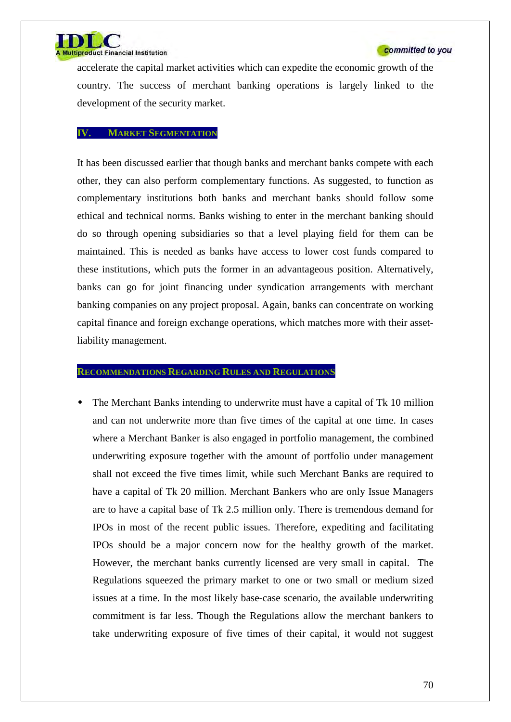

accelerate the capital market activities which can expedite the economic growth of the country. The success of merchant banking operations is largely linked to the development of the security market.

#### **IV. MARKET SEGMENTATION**

It has been discussed earlier that though banks and merchant banks compete with each other, they can also perform complementary functions. As suggested, to function as complementary institutions both banks and merchant banks should follow some ethical and technical norms. Banks wishing to enter in the merchant banking should do so through opening subsidiaries so that a level playing field for them can be maintained. This is needed as banks have access to lower cost funds compared to these institutions, which puts the former in an advantageous position. Alternatively, banks can go for joint financing under syndication arrangements with merchant banking companies on any project proposal. Again, banks can concentrate on working capital finance and foreign exchange operations, which matches more with their assetliability management.

## **RECOMMENDATIONS REGARDING RULES AND REGULATIONS**

 The Merchant Banks intending to underwrite must have a capital of Tk 10 million and can not underwrite more than five times of the capital at one time. In cases where a Merchant Banker is also engaged in portfolio management, the combined underwriting exposure together with the amount of portfolio under management shall not exceed the five times limit, while such Merchant Banks are required to have a capital of Tk 20 million. Merchant Bankers who are only Issue Managers are to have a capital base of Tk 2.5 million only. There is tremendous demand for IPOs in most of the recent public issues. Therefore, expediting and facilitating IPOs should be a major concern now for the healthy growth of the market. However, the merchant banks currently licensed are very small in capital. The Regulations squeezed the primary market to one or two small or medium sized issues at a time. In the most likely base-case scenario, the available underwriting commitment is far less. Though the Regulations allow the merchant bankers to take underwriting exposure of five times of their capital, it would not suggest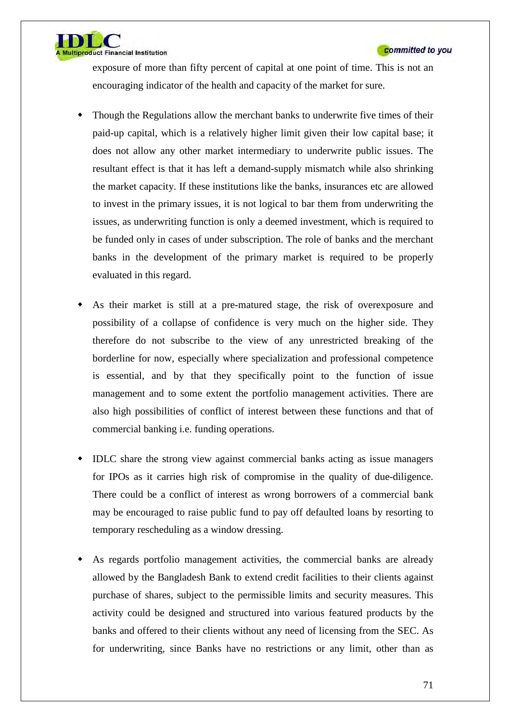

**Itiproduct Financial Institution** 

exposure of more than fifty percent of capital at one point of time. This is not an encouraging indicator of the health and capacity of the market for sure.

- Though the Regulations allow the merchant banks to underwrite five times of their paid-up capital, which is a relatively higher limit given their low capital base; it does not allow any other market intermediary to underwrite public issues. The resultant effect is that it has left a demand-supply mismatch while also shrinking the market capacity. If these institutions like the banks, insurances etc are allowed to invest in the primary issues, it is not logical to bar them from underwriting the issues, as underwriting function is only a deemed investment, which is required to be funded only in cases of under subscription. The role of banks and the merchant banks in the development of the primary market is required to be properly evaluated in this regard.
- As their market is still at a pre-matured stage, the risk of overexposure and possibility of a collapse of confidence is very much on the higher side. They therefore do not subscribe to the view of any unrestricted breaking of the borderline for now, especially where specialization and professional competence is essential, and by that they specifically point to the function of issue management and to some extent the portfolio management activities. There are also high possibilities of conflict of interest between these functions and that of commercial banking i.e. funding operations.
- IDLC share the strong view against commercial banks acting as issue managers for IPOs as it carries high risk of compromise in the quality of due-diligence. There could be a conflict of interest as wrong borrowers of a commercial bank may be encouraged to raise public fund to pay off defaulted loans by resorting to temporary rescheduling as a window dressing.
- As regards portfolio management activities, the commercial banks are already allowed by the Bangladesh Bank to extend credit facilities to their clients against purchase of shares, subject to the permissible limits and security measures. This activity could be designed and structured into various featured products by the banks and offered to their clients without any need of licensing from the SEC. As for underwriting, since Banks have no restrictions or any limit, other than as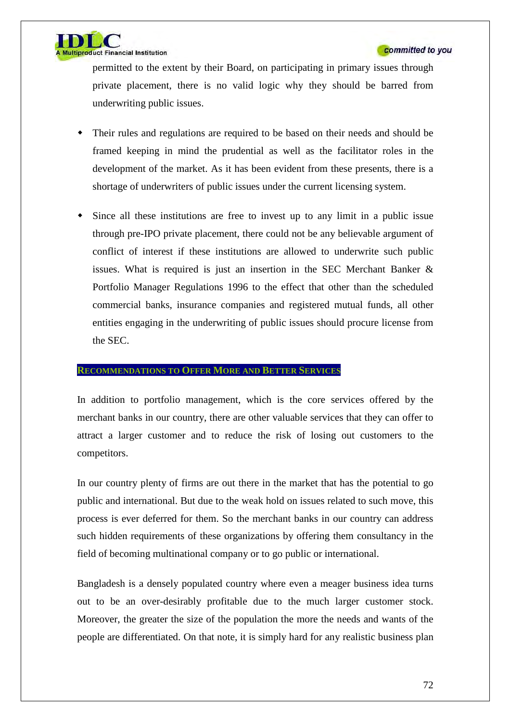

permitted to the extent by their Board, on participating in primary issues through private placement, there is no valid logic why they should be barred from underwriting public issues.

- Their rules and regulations are required to be based on their needs and should be framed keeping in mind the prudential as well as the facilitator roles in the development of the market. As it has been evident from these presents, there is a shortage of underwriters of public issues under the current licensing system.
- Since all these institutions are free to invest up to any limit in a public issue through pre-IPO private placement, there could not be any believable argument of conflict of interest if these institutions are allowed to underwrite such public issues. What is required is just an insertion in the SEC Merchant Banker & Portfolio Manager Regulations 1996 to the effect that other than the scheduled commercial banks, insurance companies and registered mutual funds, all other entities engaging in the underwriting of public issues should procure license from the SEC.

#### **RECOMMENDATIONS TO OFFER MORE AND BETTER SERVICES**

In addition to portfolio management, which is the core services offered by the merchant banks in our country, there are other valuable services that they can offer to attract a larger customer and to reduce the risk of losing out customers to the competitors.

In our country plenty of firms are out there in the market that has the potential to go public and international. But due to the weak hold on issues related to such move, this process is ever deferred for them. So the merchant banks in our country can address such hidden requirements of these organizations by offering them consultancy in the field of becoming multinational company or to go public or international.

Bangladesh is a densely populated country where even a meager business idea turns out to be an over-desirably profitable due to the much larger customer stock. Moreover, the greater the size of the population the more the needs and wants of the people are differentiated. On that note, it is simply hard for any realistic business plan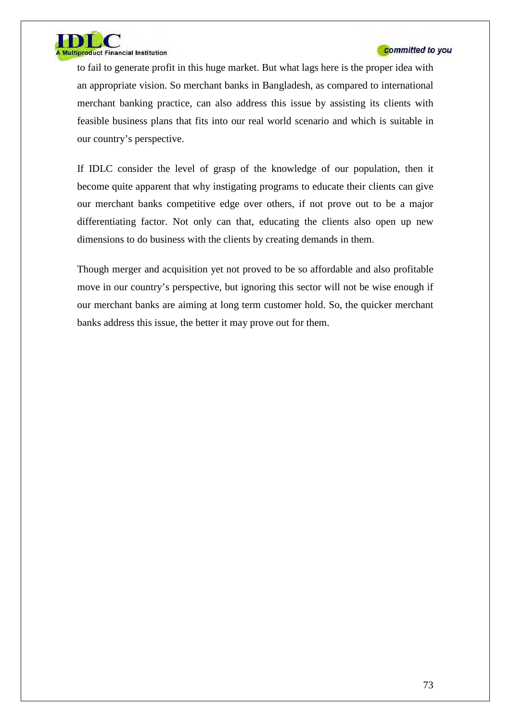

## committed to you

to fail to generate profit in this huge market. But what lags here is the proper idea with an appropriate vision. So merchant banks in Bangladesh, as compared to international merchant banking practice, can also address this issue by assisting its clients with feasible business plans that fits into our real world scenario and which is suitable in our country's perspective.

If IDLC consider the level of grasp of the knowledge of our population, then it become quite apparent that why instigating programs to educate their clients can give our merchant banks competitive edge over others, if not prove out to be a major differentiating factor. Not only can that, educating the clients also open up new dimensions to do business with the clients by creating demands in them.

Though merger and acquisition yet not proved to be so affordable and also profitable move in our country's perspective, but ignoring this sector will not be wise enough if our merchant banks are aiming at long term customer hold. So, the quicker merchant banks address this issue, the better it may prove out for them.